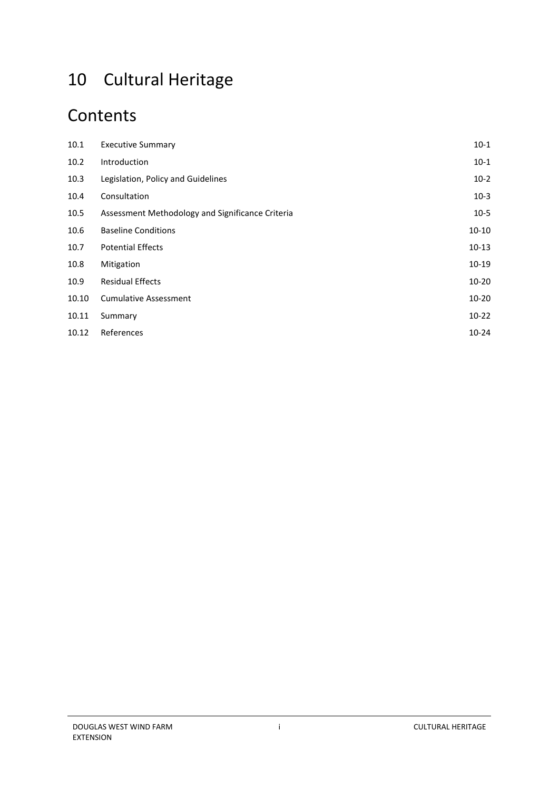# 10 Cultural Heritage

# Contents

| 10.1  | <b>Executive Summary</b>                         | $10-1$    |
|-------|--------------------------------------------------|-----------|
| 10.2  | Introduction                                     | $10-1$    |
| 10.3  | Legislation, Policy and Guidelines               | $10-2$    |
| 10.4  | Consultation                                     | $10-3$    |
| 10.5  | Assessment Methodology and Significance Criteria | $10-5$    |
| 10.6  | <b>Baseline Conditions</b>                       | $10-10$   |
| 10.7  | <b>Potential Effects</b>                         | $10-13$   |
| 10.8  | Mitigation                                       | $10-19$   |
| 10.9  | <b>Residual Effects</b>                          | $10 - 20$ |
| 10.10 | <b>Cumulative Assessment</b>                     | $10 - 20$ |
| 10.11 | Summary                                          | $10-22$   |
| 10.12 | References                                       | $10 - 24$ |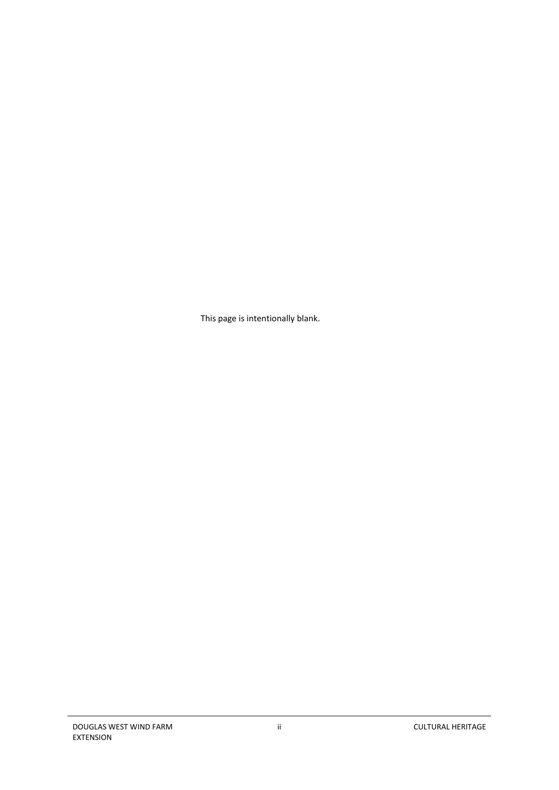This page is intentionally blank.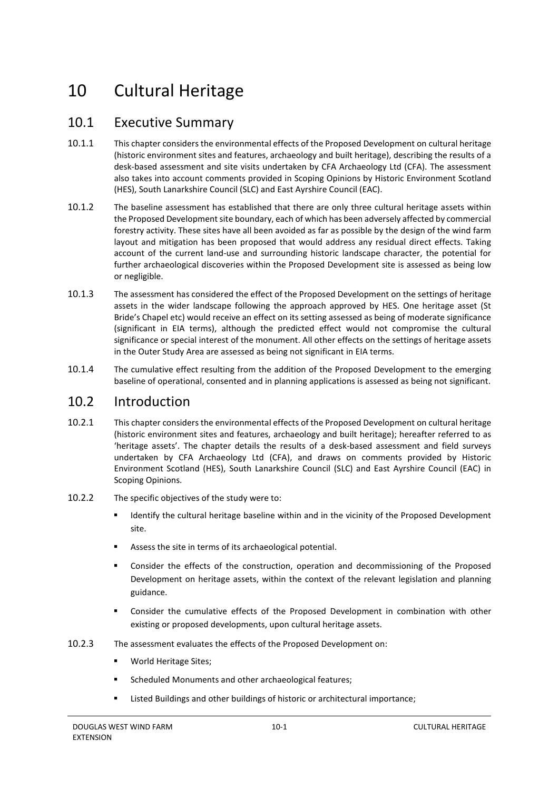# 10 Cultural Heritage

# <span id="page-2-0"></span>10.1 Executive Summary

- 10.1.1 This chapter considers the environmental effects of the Proposed Development on cultural heritage (historic environment sites and features, archaeology and built heritage), describing the results of a desk-based assessment and site visits undertaken by CFA Archaeology Ltd (CFA). The assessment also takes into account comments provided in Scoping Opinions by Historic Environment Scotland (HES), South Lanarkshire Council (SLC) and East Ayrshire Council (EAC).
- 10.1.2 The baseline assessment has established that there are only three cultural heritage assets within the Proposed Development site boundary, each of which has been adversely affected by commercial forestry activity. These sites have all been avoided as far as possible by the design of the wind farm layout and mitigation has been proposed that would address any residual direct effects. Taking account of the current land-use and surrounding historic landscape character, the potential for further archaeological discoveries within the Proposed Development site is assessed as being low or negligible.
- 10.1.3 The assessment has considered the effect of the Proposed Development on the settings of heritage assets in the wider landscape following the approach approved by HES. One heritage asset (St Bride's Chapel etc) would receive an effect on its setting assessed as being of moderate significance (significant in EIA terms), although the predicted effect would not compromise the cultural significance or special interest of the monument. All other effects on the settings of heritage assets in the Outer Study Area are assessed as being not significant in EIA terms.
- 10.1.4 The cumulative effect resulting from the addition of the Proposed Development to the emerging baseline of operational, consented and in planning applications is assessed as being not significant.

# <span id="page-2-1"></span>10.2 Introduction

- 10.2.1 This chapter considers the environmental effects of the Proposed Development on cultural heritage (historic environment sites and features, archaeology and built heritage); hereafter referred to as 'heritage assets'. The chapter details the results of a desk-based assessment and field surveys undertaken by CFA Archaeology Ltd (CFA), and draws on comments provided by Historic Environment Scotland (HES), South Lanarkshire Council (SLC) and East Ayrshire Council (EAC) in Scoping Opinions.
- 10.2.2 The specific objectives of the study were to:
	- Identify the cultural heritage baseline within and in the vicinity of the Proposed Development site.
	- Assess the site in terms of its archaeological potential.
	- Consider the effects of the construction, operation and decommissioning of the Proposed Development on heritage assets, within the context of the relevant legislation and planning guidance.
	- Consider the cumulative effects of the Proposed Development in combination with other existing or proposed developments, upon cultural heritage assets.
- 10.2.3 The assessment evaluates the effects of the Proposed Development on:
	- **World Heritage Sites;**
	- **EXECUTE:** Scheduled Monuments and other archaeological features;
	- **EXECT A** Listed Buildings and other buildings of historic or architectural importance;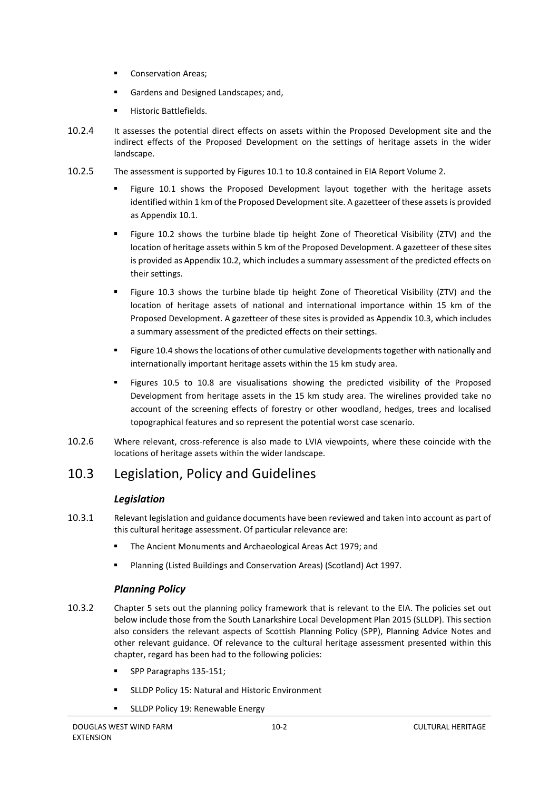- **Conservation Areas;**
- Gardens and Designed Landscapes; and,
- Historic Battlefields.
- 10.2.4 It assesses the potential direct effects on assets within the Proposed Development site and the indirect effects of the Proposed Development on the settings of heritage assets in the wider landscape.
- 10.2.5 The assessment is supported by Figures 10.1 to 10.8 contained in EIA Report Volume 2.
	- Figure 10.1 shows the Proposed Development layout together with the heritage assets identified within 1 km of the Proposed Developmentsite. A gazetteer of these assets is provided as Appendix 10.1.
	- Figure 10.2 shows the turbine blade tip height Zone of Theoretical Visibility (ZTV) and the location of heritage assets within 5 km of the Proposed Development. A gazetteer of these sites is provided as Appendix 10.2, which includes a summary assessment of the predicted effects on their settings.
	- Figure 10.3 shows the turbine blade tip height Zone of Theoretical Visibility (ZTV) and the location of heritage assets of national and international importance within 15 km of the Proposed Development. A gazetteer of these sites is provided as Appendix 10.3, which includes a summary assessment of the predicted effects on their settings.
	- Figure 10.4 shows the locations of other cumulative developments together with nationally and internationally important heritage assets within the 15 km study area.
	- Figures 10.5 to 10.8 are visualisations showing the predicted visibility of the Proposed Development from heritage assets in the 15 km study area. The wirelines provided take no account of the screening effects of forestry or other woodland, hedges, trees and localised topographical features and so represent the potential worst case scenario.
- 10.2.6 Where relevant, cross-reference is also made to LVIA viewpoints, where these coincide with the locations of heritage assets within the wider landscape.

# <span id="page-3-0"></span>10.3 Legislation, Policy and Guidelines

# *Legislation*

- 10.3.1 Relevant legislation and guidance documents have been reviewed and taken into account as part of this cultural heritage assessment. Of particular relevance are:
	- The Ancient Monuments and Archaeological Areas Act 1979; and
	- Planning (Listed Buildings and Conservation Areas) (Scotland) Act 1997.

# *Planning Policy*

- 10.3.2 Chapter 5 sets out the planning policy framework that is relevant to the EIA. The policies set out below include those from the South Lanarkshire Local Development Plan 2015 (SLLDP). This section also considers the relevant aspects of Scottish Planning Policy (SPP), Planning Advice Notes and other relevant guidance. Of relevance to the cultural heritage assessment presented within this chapter, regard has been had to the following policies:
	- **SPP Paragraphs 135-151;**
	- SLLDP Policy 15: Natural and Historic Environment
	- SLLDP Policy 19: Renewable Energy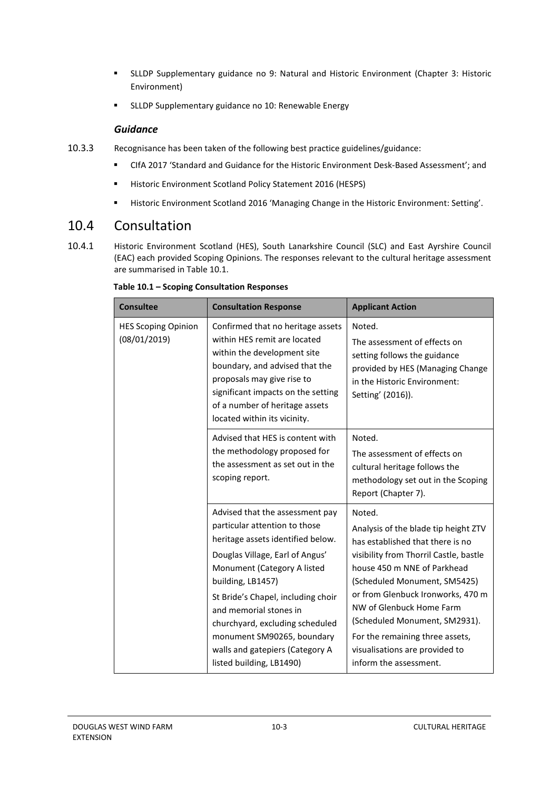- SLLDP Supplementary guidance no 9: Natural and Historic Environment (Chapter 3: Historic Environment)
- **SLLDP Supplementary guidance no 10: Renewable Energy**

# *Guidance*

- 10.3.3 Recognisance has been taken of the following best practice guidelines/guidance:
	- CIfA 2017 'Standard and Guidance for the Historic Environment Desk-Based Assessment'; and
	- **Historic Environment Scotland Policy Statement 2016 (HESPS)**
	- Historic Environment Scotland 2016 'Managing Change in the Historic Environment: Setting'.

# <span id="page-4-0"></span>10.4 Consultation

10.4.1 Historic Environment Scotland (HES), South Lanarkshire Council (SLC) and East Ayrshire Council (EAC) each provided Scoping Opinions. The responses relevant to the cultural heritage assessment are summarised in Table 10.1.

| <b>Consultee</b>                           | <b>Consultation Response</b>                                                                                                                                                                                                                                                                                                                                                                 | <b>Applicant Action</b>                                                                                                                                                                                                                                                                                                                                                                      |
|--------------------------------------------|----------------------------------------------------------------------------------------------------------------------------------------------------------------------------------------------------------------------------------------------------------------------------------------------------------------------------------------------------------------------------------------------|----------------------------------------------------------------------------------------------------------------------------------------------------------------------------------------------------------------------------------------------------------------------------------------------------------------------------------------------------------------------------------------------|
| <b>HES Scoping Opinion</b><br>(08/01/2019) | Confirmed that no heritage assets<br>within HES remit are located<br>within the development site<br>boundary, and advised that the<br>proposals may give rise to<br>significant impacts on the setting<br>of a number of heritage assets<br>located within its vicinity.                                                                                                                     | Noted.<br>The assessment of effects on<br>setting follows the guidance<br>provided by HES (Managing Change<br>in the Historic Environment:<br>Setting' (2016)).                                                                                                                                                                                                                              |
|                                            | Advised that HES is content with<br>the methodology proposed for<br>the assessment as set out in the<br>scoping report.                                                                                                                                                                                                                                                                      | Noted.<br>The assessment of effects on<br>cultural heritage follows the<br>methodology set out in the Scoping<br>Report (Chapter 7).                                                                                                                                                                                                                                                         |
|                                            | Advised that the assessment pay<br>particular attention to those<br>heritage assets identified below.<br>Douglas Village, Earl of Angus'<br>Monument (Category A listed<br>building, LB1457)<br>St Bride's Chapel, including choir<br>and memorial stones in<br>churchyard, excluding scheduled<br>monument SM90265, boundary<br>walls and gatepiers (Category A<br>listed building, LB1490) | Noted.<br>Analysis of the blade tip height ZTV<br>has established that there is no<br>visibility from Thorril Castle, bastle<br>house 450 m NNE of Parkhead<br>(Scheduled Monument, SM5425)<br>or from Glenbuck Ironworks, 470 m<br>NW of Glenbuck Home Farm<br>(Scheduled Monument, SM2931).<br>For the remaining three assets,<br>visualisations are provided to<br>inform the assessment. |

**Table 10.1 – Scoping Consultation Responses**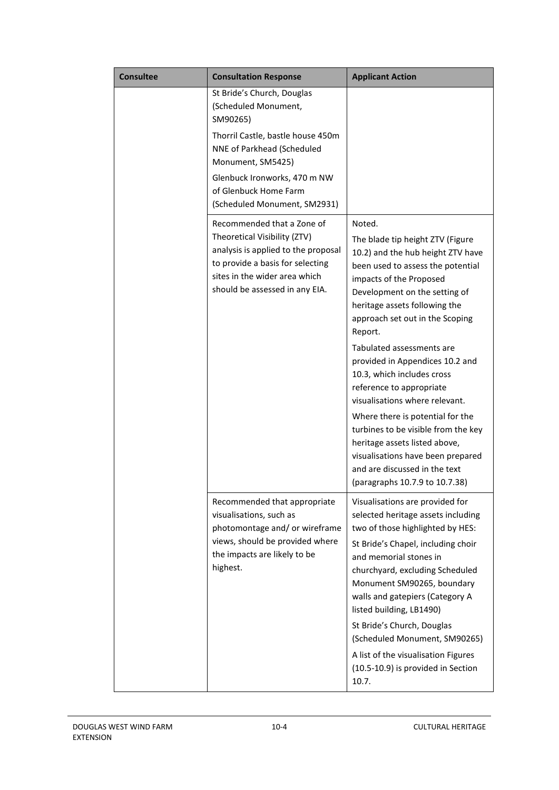| <b>Consultee</b> | <b>Consultation Response</b>                                                                                                                                                  | <b>Applicant Action</b>                                                                                                                                                                                                                                                                                                                                                                                                                                        |
|------------------|-------------------------------------------------------------------------------------------------------------------------------------------------------------------------------|----------------------------------------------------------------------------------------------------------------------------------------------------------------------------------------------------------------------------------------------------------------------------------------------------------------------------------------------------------------------------------------------------------------------------------------------------------------|
|                  | St Bride's Church, Douglas<br>(Scheduled Monument,<br>SM90265)                                                                                                                |                                                                                                                                                                                                                                                                                                                                                                                                                                                                |
|                  | Thorril Castle, bastle house 450m<br>NNE of Parkhead (Scheduled<br>Monument, SM5425)<br>Glenbuck Ironworks, 470 m NW<br>of Glenbuck Home Farm<br>(Scheduled Monument, SM2931) |                                                                                                                                                                                                                                                                                                                                                                                                                                                                |
|                  | Recommended that a Zone of                                                                                                                                                    | Noted.                                                                                                                                                                                                                                                                                                                                                                                                                                                         |
|                  | Theoretical Visibility (ZTV)<br>analysis is applied to the proposal<br>to provide a basis for selecting<br>sites in the wider area which<br>should be assessed in any EIA.    | The blade tip height ZTV (Figure<br>10.2) and the hub height ZTV have<br>been used to assess the potential<br>impacts of the Proposed<br>Development on the setting of<br>heritage assets following the<br>approach set out in the Scoping<br>Report.                                                                                                                                                                                                          |
|                  |                                                                                                                                                                               | Tabulated assessments are<br>provided in Appendices 10.2 and<br>10.3, which includes cross<br>reference to appropriate<br>visualisations where relevant.                                                                                                                                                                                                                                                                                                       |
|                  |                                                                                                                                                                               | Where there is potential for the<br>turbines to be visible from the key<br>heritage assets listed above,<br>visualisations have been prepared<br>and are discussed in the text<br>(paragraphs 10.7.9 to 10.7.38)                                                                                                                                                                                                                                               |
|                  | Recommended that appropriate<br>visualisations, such as<br>photomontage and/ or wireframe<br>views, should be provided where<br>the impacts are likely to be<br>highest.      | Visualisations are provided for<br>selected heritage assets including<br>two of those highlighted by HES:<br>St Bride's Chapel, including choir<br>and memorial stones in<br>churchyard, excluding Scheduled<br>Monument SM90265, boundary<br>walls and gatepiers (Category A<br>listed building, LB1490)<br>St Bride's Church, Douglas<br>(Scheduled Monument, SM90265)<br>A list of the visualisation Figures<br>(10.5-10.9) is provided in Section<br>10.7. |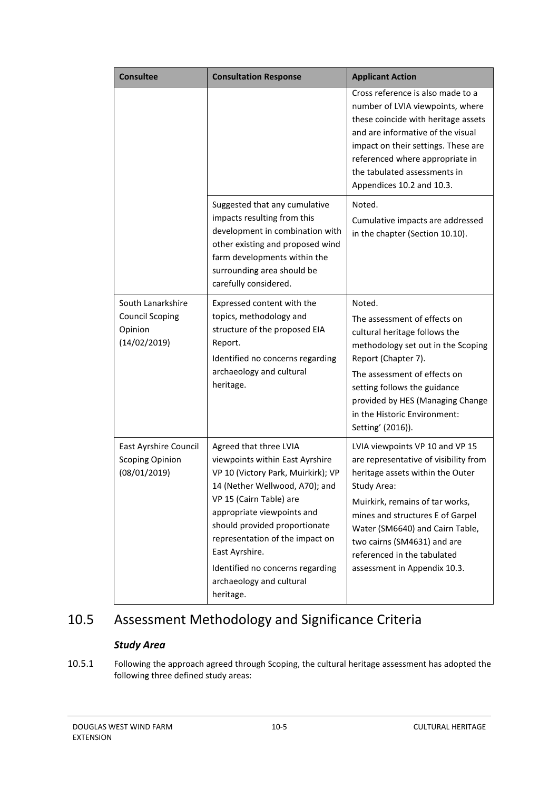| <b>Consultee</b>                                                       | <b>Consultation Response</b>                                                                                                                                                                                                                                                                                                                                  | <b>Applicant Action</b>                                                                                                                                                                                                                                                                                                             |
|------------------------------------------------------------------------|---------------------------------------------------------------------------------------------------------------------------------------------------------------------------------------------------------------------------------------------------------------------------------------------------------------------------------------------------------------|-------------------------------------------------------------------------------------------------------------------------------------------------------------------------------------------------------------------------------------------------------------------------------------------------------------------------------------|
|                                                                        |                                                                                                                                                                                                                                                                                                                                                               | Cross reference is also made to a<br>number of LVIA viewpoints, where<br>these coincide with heritage assets<br>and are informative of the visual<br>impact on their settings. These are<br>referenced where appropriate in<br>the tabulated assessments in<br>Appendices 10.2 and 10.3.                                            |
|                                                                        | Suggested that any cumulative<br>impacts resulting from this<br>development in combination with<br>other existing and proposed wind<br>farm developments within the<br>surrounding area should be<br>carefully considered.                                                                                                                                    | Noted.<br>Cumulative impacts are addressed<br>in the chapter (Section 10.10).                                                                                                                                                                                                                                                       |
| South Lanarkshire<br><b>Council Scoping</b><br>Opinion<br>(14/02/2019) | Expressed content with the<br>topics, methodology and<br>structure of the proposed EIA<br>Report.<br>Identified no concerns regarding<br>archaeology and cultural<br>heritage.                                                                                                                                                                                | Noted.<br>The assessment of effects on<br>cultural heritage follows the<br>methodology set out in the Scoping<br>Report (Chapter 7).<br>The assessment of effects on<br>setting follows the guidance<br>provided by HES (Managing Change<br>in the Historic Environment:<br>Setting' (2016)).                                       |
| East Ayrshire Council<br><b>Scoping Opinion</b><br>(08/01/2019)        | Agreed that three LVIA<br>viewpoints within East Ayrshire<br>VP 10 (Victory Park, Muirkirk); VP<br>14 (Nether Wellwood, A70); and<br>VP 15 (Cairn Table) are<br>appropriate viewpoints and<br>should provided proportionate<br>representation of the impact on<br>East Ayrshire.<br>Identified no concerns regarding<br>archaeology and cultural<br>heritage. | LVIA viewpoints VP 10 and VP 15<br>are representative of visibility from<br>heritage assets within the Outer<br>Study Area:<br>Muirkirk, remains of tar works,<br>mines and structures E of Garpel<br>Water (SM6640) and Cairn Table,<br>two cairns (SM4631) and are<br>referenced in the tabulated<br>assessment in Appendix 10.3. |

# <span id="page-6-0"></span>10.5 Assessment Methodology and Significance Criteria

# *Study Area*

10.5.1 Following the approach agreed through Scoping, the cultural heritage assessment has adopted the following three defined study areas: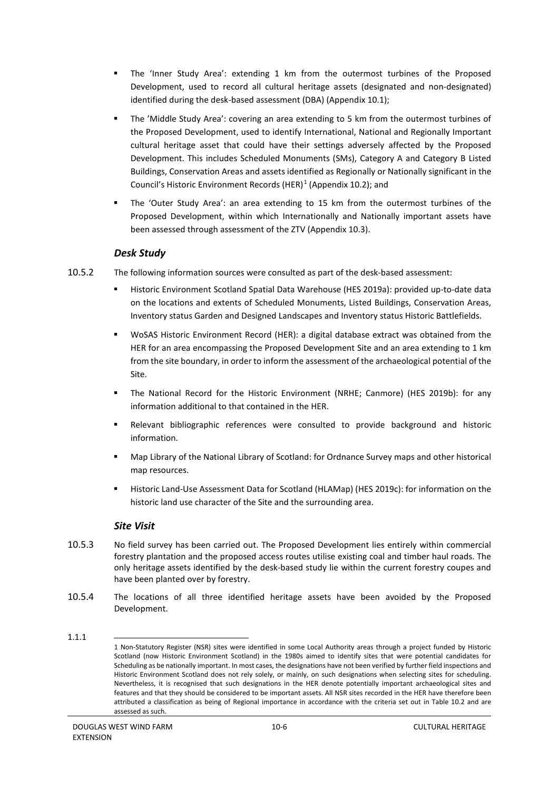- The 'Inner Study Area': extending 1 km from the outermost turbines of the Proposed Development, used to record all cultural heritage assets (designated and non-designated) identified during the desk-based assessment (DBA) (Appendix 10.1);
- The 'Middle Study Area': covering an area extending to 5 km from the outermost turbines of the Proposed Development, used to identify International, National and Regionally Important cultural heritage asset that could have their settings adversely affected by the Proposed Development. This includes Scheduled Monuments (SMs), Category A and Category B Listed Buildings, Conservation Areas and assets identified as Regionally or Nationally significant in the Council's Historic Environment Records (HER)<sup>[1](#page-7-0)</sup> (Appendix 10.2); and
- The 'Outer Study Area': an area extending to 15 km from the outermost turbines of the Proposed Development, within which Internationally and Nationally important assets have been assessed through assessment of the ZTV (Appendix 10.3).

# *Desk Study*

- 10.5.2 The following information sources were consulted as part of the desk-based assessment:
	- Historic Environment Scotland Spatial Data Warehouse (HES 2019a): provided up-to-date data on the locations and extents of Scheduled Monuments, Listed Buildings, Conservation Areas, Inventory status Garden and Designed Landscapes and Inventory status Historic Battlefields.
	- WoSAS Historic Environment Record (HER): a digital database extract was obtained from the HER for an area encompassing the Proposed Development Site and an area extending to 1 km from the site boundary, in order to inform the assessment of the archaeological potential of the Site.
	- The National Record for the Historic Environment (NRHE; Canmore) (HES 2019b): for any information additional to that contained in the HER.
	- Relevant bibliographic references were consulted to provide background and historic information.
	- Map Library of the National Library of Scotland: for Ordnance Survey maps and other historical map resources.
	- Historic Land-Use Assessment Data for Scotland (HLAMap) (HES 2019c): for information on the historic land use character of the Site and the surrounding area.

# *Site Visit*

- 10.5.3 No field survey has been carried out. The Proposed Development lies entirely within commercial forestry plantation and the proposed access routes utilise existing coal and timber haul roads. The only heritage assets identified by the desk-based study lie within the current forestry coupes and have been planted over by forestry.
- 10.5.4 The locations of all three identified heritage assets have been avoided by the Proposed Development.
- <span id="page-7-0"></span>1.1.1 1 Non-Statutory Register (NSR) sites were identified in some Local Authority areas through a project funded by Historic Scotland (now Historic Environment Scotland) in the 1980s aimed to identify sites that were potential candidates for Scheduling as be nationally important. In most cases, the designations have not been verified by further field inspections and Historic Environment Scotland does not rely solely, or mainly, on such designations when selecting sites for scheduling. Nevertheless, it is recognised that such designations in the HER denote potentially important archaeological sites and features and that they should be considered to be important assets. All NSR sites recorded in the HER have therefore been attributed a classification as being of Regional importance in accordance with the criteria set out in Table 10.2 and are assessed as such.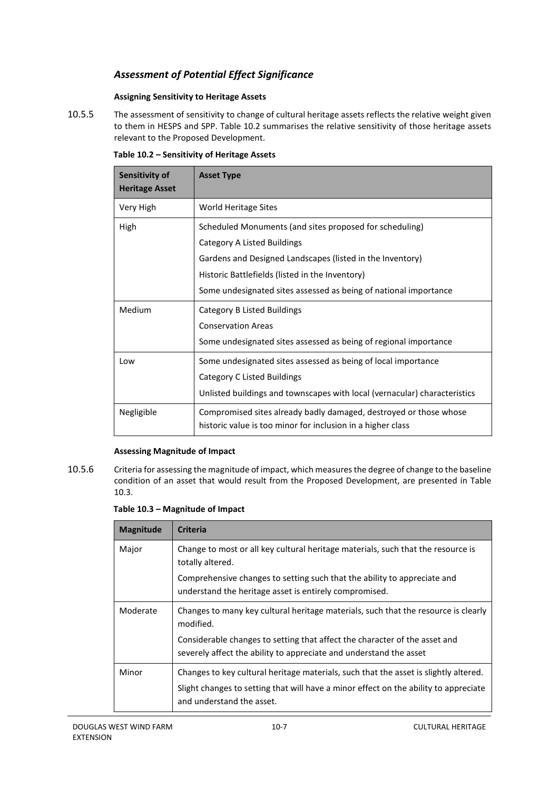# *Assessment of Potential Effect Significance*

## **Assigning Sensitivity to Heritage Assets**

10.5.5 The assessment of sensitivity to change of cultural heritage assets reflects the relative weight given to them in HESPS and SPP. Table 10.2 summarises the relative sensitivity of those heritage assets relevant to the Proposed Development.

| Sensitivity of<br><b>Heritage Asset</b> | <b>Asset Type</b>                                                                                                                |
|-----------------------------------------|----------------------------------------------------------------------------------------------------------------------------------|
| Very High                               | World Heritage Sites                                                                                                             |
| High                                    | Scheduled Monuments (and sites proposed for scheduling)                                                                          |
|                                         | <b>Category A Listed Buildings</b>                                                                                               |
|                                         | Gardens and Designed Landscapes (listed in the Inventory)                                                                        |
|                                         | Historic Battlefields (listed in the Inventory)                                                                                  |
|                                         | Some undesignated sites assessed as being of national importance                                                                 |
| Medium                                  | <b>Category B Listed Buildings</b>                                                                                               |
|                                         | <b>Conservation Areas</b>                                                                                                        |
|                                         | Some undesignated sites assessed as being of regional importance                                                                 |
| Low                                     | Some undesignated sites assessed as being of local importance                                                                    |
|                                         | <b>Category C Listed Buildings</b>                                                                                               |
|                                         | Unlisted buildings and townscapes with local (vernacular) characteristics                                                        |
| Negligible                              | Compromised sites already badly damaged, destroyed or those whose<br>historic value is too minor for inclusion in a higher class |

| Table 10.2 - Sensitivity of Heritage Assets |  |  |  |
|---------------------------------------------|--|--|--|
|---------------------------------------------|--|--|--|

### **Assessing Magnitude of Impact**

10.5.6 Criteria for assessing the magnitude of impact, which measures the degree of change to the baseline condition of an asset that would result from the Proposed Development, are presented in Table 10.3.

**Table 10.3 – Magnitude of Impact**

| <b>Magnitude</b>                                                                              | <b>Criteria</b>                                                                                                                                  |  |  |
|-----------------------------------------------------------------------------------------------|--------------------------------------------------------------------------------------------------------------------------------------------------|--|--|
| Major                                                                                         | Change to most or all key cultural heritage materials, such that the resource is<br>totally altered.                                             |  |  |
|                                                                                               | Comprehensive changes to setting such that the ability to appreciate and<br>understand the heritage asset is entirely compromised.               |  |  |
| Moderate                                                                                      | Changes to many key cultural heritage materials, such that the resource is clearly<br>modified.                                                  |  |  |
|                                                                                               | Considerable changes to setting that affect the character of the asset and<br>severely affect the ability to appreciate and understand the asset |  |  |
| Minor<br>Changes to key cultural heritage materials, such that the asset is slightly altered. |                                                                                                                                                  |  |  |
|                                                                                               | Slight changes to setting that will have a minor effect on the ability to appreciate<br>and understand the asset.                                |  |  |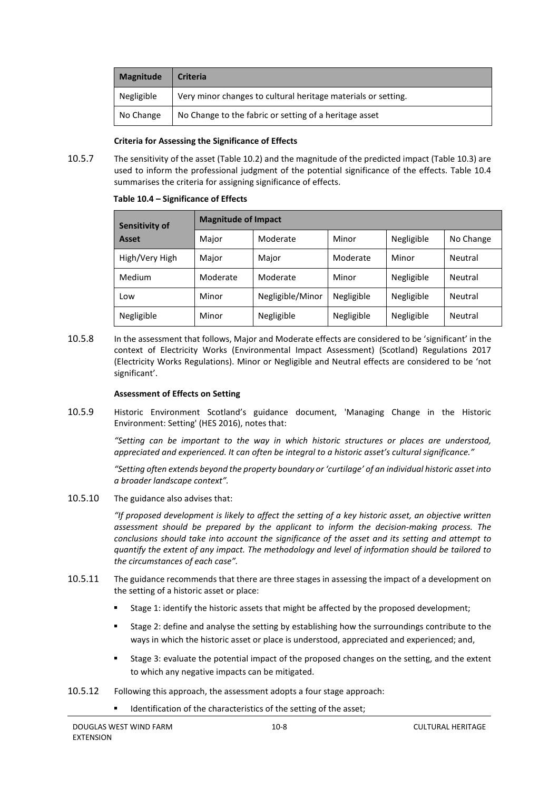| Magnitude  | <b>Criteria</b>                                               |
|------------|---------------------------------------------------------------|
| Negligible | Very minor changes to cultural heritage materials or setting. |
| No Change  | No Change to the fabric or setting of a heritage asset        |

#### **Criteria for Assessing the Significance of Effects**

10.5.7 The sensitivity of the asset (Table 10.2) and the magnitude of the predicted impact (Table 10.3) are used to inform the professional judgment of the potential significance of the effects. Table 10.4 summarises the criteria for assigning significance of effects.

|  | Sensitivity of | <b>Magnitude of Impact</b> |                  |                   |            |           |  |
|--|----------------|----------------------------|------------------|-------------------|------------|-----------|--|
|  | Asset          | Major                      | Moderate         | Minor             | Negligible | No Change |  |
|  | High/Very High | Major                      | Major            | Moderate<br>Minor |            | Neutral   |  |
|  | Medium         | Moderate                   | Moderate         | Minor             | Negligible | Neutral   |  |
|  | Low            | Minor                      | Negligible/Minor | Negligible        | Negligible | Neutral   |  |
|  | Negligible     | Minor                      | Negligible       | Negligible        | Negligible | Neutral   |  |

#### **Table 10.4 – Significance of Effects**

10.5.8 In the assessment that follows, Major and Moderate effects are considered to be 'significant' in the context of Electricity Works (Environmental Impact Assessment) (Scotland) Regulations 2017 (Electricity Works Regulations). Minor or Negligible and Neutral effects are considered to be 'not significant'.

#### **Assessment of Effects on Setting**

10.5.9 Historic Environment Scotland's guidance document, 'Managing Change in the Historic Environment: Setting' (HES 2016), notes that:

> *"Setting can be important to the way in which historic structures or places are understood, appreciated and experienced. It can often be integral to a historic asset's cultural significance."*

> *"Setting often extends beyond the property boundary or 'curtilage' of an individual historic asset into a broader landscape context".*

10.5.10 The guidance also advises that:

*"If proposed development is likely to affect the setting of a key historic asset, an objective written assessment should be prepared by the applicant to inform the decision-making process. The conclusions should take into account the significance of the asset and its setting and attempt to quantify the extent of any impact. The methodology and level of information should be tailored to the circumstances of each case".*

- 10.5.11 The guidance recommends that there are three stages in assessing the impact of a development on the setting of a historic asset or place:
	- Stage 1: identify the historic assets that might be affected by the proposed development;
	- Stage 2: define and analyse the setting by establishing how the surroundings contribute to the ways in which the historic asset or place is understood, appreciated and experienced; and,
	- Stage 3: evaluate the potential impact of the proposed changes on the setting, and the extent to which any negative impacts can be mitigated.
- 10.5.12 Following this approach, the assessment adopts a four stage approach:
	- Identification of the characteristics of the setting of the asset;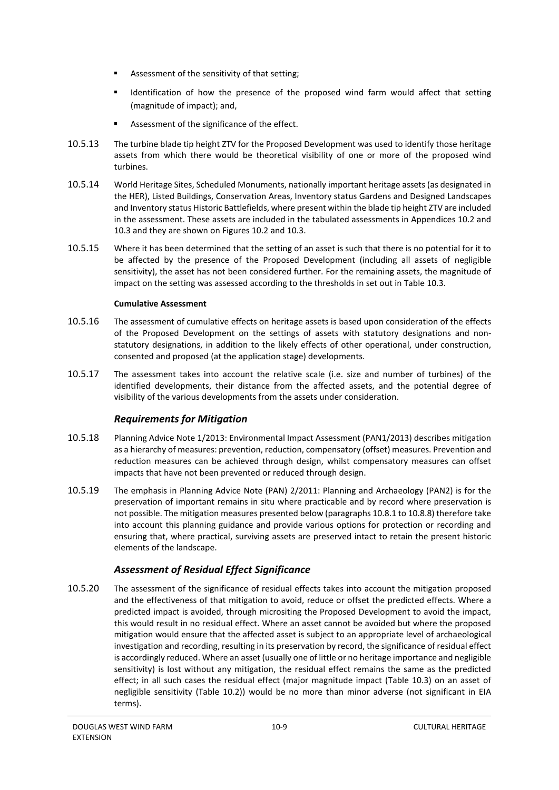- Assessment of the sensitivity of that setting;
- **IDENTIFICATE:** Identification of how the presence of the proposed wind farm would affect that setting (magnitude of impact); and,
- Assessment of the significance of the effect.
- 10.5.13 The turbine blade tip height ZTV for the Proposed Development was used to identify those heritage assets from which there would be theoretical visibility of one or more of the proposed wind turbines.
- 10.5.14 World Heritage Sites, Scheduled Monuments, nationally important heritage assets (as designated in the HER), Listed Buildings, Conservation Areas, Inventory status Gardens and Designed Landscapes and Inventory status Historic Battlefields, where present within the blade tip height ZTV are included in the assessment. These assets are included in the tabulated assessments in Appendices 10.2 and 10.3 and they are shown on Figures 10.2 and 10.3.
- 10.5.15 Where it has been determined that the setting of an asset is such that there is no potential for it to be affected by the presence of the Proposed Development (including all assets of negligible sensitivity), the asset has not been considered further. For the remaining assets, the magnitude of impact on the setting was assessed according to the thresholds in set out in Table 10.3.

## **Cumulative Assessment**

- 10.5.16 The assessment of cumulative effects on heritage assets is based upon consideration of the effects of the Proposed Development on the settings of assets with statutory designations and nonstatutory designations, in addition to the likely effects of other operational, under construction, consented and proposed (at the application stage) developments.
- 10.5.17 The assessment takes into account the relative scale (i.e. size and number of turbines) of the identified developments, their distance from the affected assets, and the potential degree of visibility of the various developments from the assets under consideration.

# *Requirements for Mitigation*

- 10.5.18 Planning Advice Note 1/2013: Environmental Impact Assessment (PAN1/2013) describes mitigation as a hierarchy of measures: prevention, reduction, compensatory (offset) measures. Prevention and reduction measures can be achieved through design, whilst compensatory measures can offset impacts that have not been prevented or reduced through design.
- 10.5.19 The emphasis in Planning Advice Note (PAN) 2/2011: Planning and Archaeology (PAN2) is for the preservation of important remains in situ where practicable and by record where preservation is not possible. The mitigation measures presented below (paragraph[s 10.8.1](#page-20-2) to [10.8.8\)](#page-21-2) therefore take into account this planning guidance and provide various options for protection or recording and ensuring that, where practical, surviving assets are preserved intact to retain the present historic elements of the landscape.

# *Assessment of Residual Effect Significance*

10.5.20 The assessment of the significance of residual effects takes into account the mitigation proposed and the effectiveness of that mitigation to avoid, reduce or offset the predicted effects. Where a predicted impact is avoided, through micrositing the Proposed Development to avoid the impact, this would result in no residual effect. Where an asset cannot be avoided but where the proposed mitigation would ensure that the affected asset is subject to an appropriate level of archaeological investigation and recording, resulting in its preservation by record, the significance of residual effect is accordingly reduced. Where an asset (usually one of little or no heritage importance and negligible sensitivity) is lost without any mitigation, the residual effect remains the same as the predicted effect; in all such cases the residual effect (major magnitude impact (Table 10.3) on an asset of negligible sensitivity (Table 10.2)) would be no more than minor adverse (not significant in EIA terms).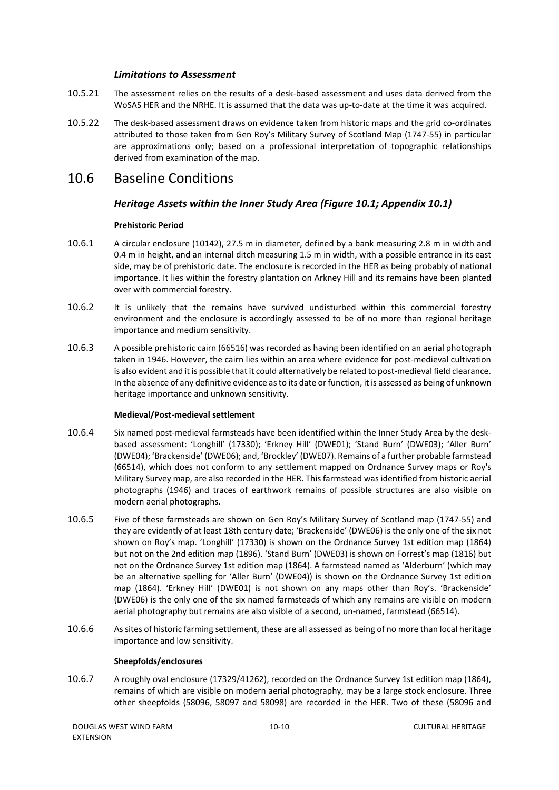## *Limitations to Assessment*

- 10.5.21 The assessment relies on the results of a desk-based assessment and uses data derived from the WoSAS HER and the NRHE. It is assumed that the data was up-to-date at the time it was acquired.
- 10.5.22 The desk-based assessment draws on evidence taken from historic maps and the grid co-ordinates attributed to those taken from Gen Roy's Military Survey of Scotland Map (1747-55) in particular are approximations only; based on a professional interpretation of topographic relationships derived from examination of the map.

# <span id="page-11-0"></span>10.6 Baseline Conditions

# *Heritage Assets within the Inner Study Area (Figure 10.1; Appendix 10.1)*

## **Prehistoric Period**

- 10.6.1 A circular enclosure (10142), 27.5 m in diameter, defined by a bank measuring 2.8 m in width and 0.4 m in height, and an internal ditch measuring 1.5 m in width, with a possible entrance in its east side, may be of prehistoric date. The enclosure is recorded in the HER as being probably of national importance. It lies within the forestry plantation on Arkney Hill and its remains have been planted over with commercial forestry.
- 10.6.2 It is unlikely that the remains have survived undisturbed within this commercial forestry environment and the enclosure is accordingly assessed to be of no more than regional heritage importance and medium sensitivity.
- 10.6.3 A possible prehistoric cairn (66516) was recorded as having been identified on an aerial photograph taken in 1946. However, the cairn lies within an area where evidence for post-medieval cultivation is also evident and it is possible that it could alternatively be related to post-medieval field clearance. In the absence of any definitive evidence as to its date or function, it is assessed as being of unknown heritage importance and unknown sensitivity.

### **Medieval/Post-medieval settlement**

- 10.6.4 Six named post-medieval farmsteads have been identified within the Inner Study Area by the deskbased assessment: 'Longhill' (17330); 'Erkney Hill' (DWE01); 'Stand Burn' (DWE03); 'Aller Burn' (DWE04); 'Brackenside' (DWE06); and, 'Brockley' (DWE07). Remains of a further probable farmstead (66514), which does not conform to any settlement mapped on Ordnance Survey maps or Roy's Military Survey map, are also recorded in the HER. This farmstead was identified from historic aerial photographs (1946) and traces of earthwork remains of possible structures are also visible on modern aerial photographs.
- 10.6.5 Five of these farmsteads are shown on Gen Roy's Military Survey of Scotland map (1747-55) and they are evidently of at least 18th century date; 'Brackenside' (DWE06) is the only one of the six not shown on Roy's map. 'Longhill' (17330) is shown on the Ordnance Survey 1st edition map (1864) but not on the 2nd edition map (1896). 'Stand Burn' (DWE03) is shown on Forrest's map (1816) but not on the Ordnance Survey 1st edition map (1864). A farmstead named as 'Alderburn' (which may be an alternative spelling for 'Aller Burn' (DWE04)) is shown on the Ordnance Survey 1st edition map (1864). 'Erkney Hill' (DWE01) is not shown on any maps other than Roy's. 'Brackenside' (DWE06) is the only one of the six named farmsteads of which any remains are visible on modern aerial photography but remains are also visible of a second, un-named, farmstead (66514).
- 10.6.6 As sites of historic farming settlement, these are all assessed as being of no more than local heritage importance and low sensitivity.

### **Sheepfolds/enclosures**

10.6.7 A roughly oval enclosure (17329/41262), recorded on the Ordnance Survey 1st edition map (1864), remains of which are visible on modern aerial photography, may be a large stock enclosure. Three other sheepfolds (58096, 58097 and 58098) are recorded in the HER. Two of these (58096 and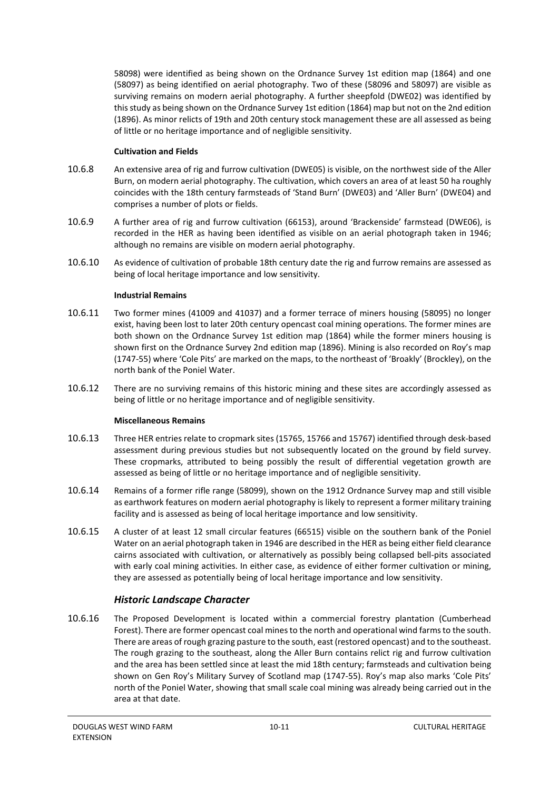58098) were identified as being shown on the Ordnance Survey 1st edition map (1864) and one (58097) as being identified on aerial photography. Two of these (58096 and 58097) are visible as surviving remains on modern aerial photography. A further sheepfold (DWE02) was identified by this study as being shown on the Ordnance Survey 1st edition (1864) map but not on the 2nd edition (1896). As minor relicts of 19th and 20th century stock management these are all assessed as being of little or no heritage importance and of negligible sensitivity.

## **Cultivation and Fields**

- 10.6.8 An extensive area of rig and furrow cultivation (DWE05) is visible, on the northwest side of the Aller Burn, on modern aerial photography. The cultivation, which covers an area of at least 50 ha roughly coincides with the 18th century farmsteads of 'Stand Burn' (DWE03) and 'Aller Burn' (DWE04) and comprises a number of plots or fields.
- 10.6.9 A further area of rig and furrow cultivation (66153), around 'Brackenside' farmstead (DWE06), is recorded in the HER as having been identified as visible on an aerial photograph taken in 1946; although no remains are visible on modern aerial photography.
- 10.6.10 As evidence of cultivation of probable 18th century date the rig and furrow remains are assessed as being of local heritage importance and low sensitivity.

### **Industrial Remains**

- 10.6.11 Two former mines (41009 and 41037) and a former terrace of miners housing (58095) no longer exist, having been lost to later 20th century opencast coal mining operations. The former mines are both shown on the Ordnance Survey 1st edition map (1864) while the former miners housing is shown first on the Ordnance Survey 2nd edition map (1896). Mining is also recorded on Roy's map (1747-55) where 'Cole Pits' are marked on the maps, to the northeast of 'Broakly' (Brockley), on the north bank of the Poniel Water.
- 10.6.12 There are no surviving remains of this historic mining and these sites are accordingly assessed as being of little or no heritage importance and of negligible sensitivity.

### **Miscellaneous Remains**

- 10.6.13 Three HER entries relate to cropmark sites (15765, 15766 and 15767) identified through desk-based assessment during previous studies but not subsequently located on the ground by field survey. These cropmarks, attributed to being possibly the result of differential vegetation growth are assessed as being of little or no heritage importance and of negligible sensitivity.
- 10.6.14 Remains of a former rifle range (58099), shown on the 1912 Ordnance Survey map and still visible as earthwork features on modern aerial photography is likely to represent a former military training facility and is assessed as being of local heritage importance and low sensitivity.
- 10.6.15 A cluster of at least 12 small circular features (66515) visible on the southern bank of the Poniel Water on an aerial photograph taken in 1946 are described in the HER as being either field clearance cairns associated with cultivation, or alternatively as possibly being collapsed bell-pits associated with early coal mining activities. In either case, as evidence of either former cultivation or mining, they are assessed as potentially being of local heritage importance and low sensitivity.

# *Historic Landscape Character*

10.6.16 The Proposed Development is located within a commercial forestry plantation (Cumberhead Forest). There are former opencast coal mines to the north and operational wind farms to the south. There are areas of rough grazing pasture to the south, east (restored opencast) and to the southeast. The rough grazing to the southeast, along the Aller Burn contains relict rig and furrow cultivation and the area has been settled since at least the mid 18th century; farmsteads and cultivation being shown on Gen Roy's Military Survey of Scotland map (1747-55). Roy's map also marks 'Cole Pits' north of the Poniel Water, showing that small scale coal mining was already being carried out in the area at that date.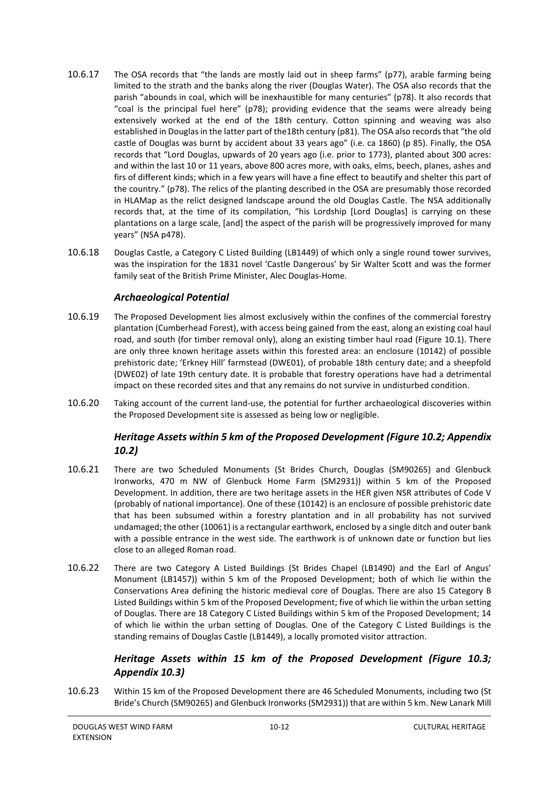- 10.6.17 The OSA records that "the lands are mostly laid out in sheep farms" (p77), arable farming being limited to the strath and the banks along the river (Douglas Water). The OSA also records that the parish "abounds in coal, which will be inexhaustible for many centuries" (p78). It also records that "coal is the principal fuel here" (p78); providing evidence that the seams were already being extensively worked at the end of the 18th century. Cotton spinning and weaving was also established in Douglas in the latter part of the18th century (p81). The OSA also records that "the old castle of Douglas was burnt by accident about 33 years ago" (i.e. ca 1860) (p 85). Finally, the OSA records that "Lord Douglas, upwards of 20 years ago (i.e. prior to 1773), planted about 300 acres: and within the last 10 or 11 years, above 800 acres more, with oaks, elms, beech, planes, ashes and firs of different kinds; which in a few years will have a fine effect to beautify and shelter this part of the country." (p78). The relics of the planting described in the OSA are presumably those recorded in HLAMap as the relict designed landscape around the old Douglas Castle. The NSA additionally records that, at the time of its compilation, "his Lordship [Lord Douglas] is carrying on these plantations on a large scale, [and] the aspect of the parish will be progressively improved for many years" (NSA p478).
- 10.6.18 Douglas Castle, a Category C Listed Building (LB1449) of which only a single round tower survives, was the inspiration for the 1831 novel 'Castle Dangerous' by Sir Walter Scott and was the former family seat of the British Prime Minister, Alec Douglas-Home.

# *Archaeological Potential*

- 10.6.19 The Proposed Development lies almost exclusively within the confines of the commercial forestry plantation (Cumberhead Forest), with access being gained from the east, along an existing coal haul road, and south (for timber removal only), along an existing timber haul road (Figure 10.1). There are only three known heritage assets within this forested area: an enclosure (10142) of possible prehistoric date; 'Erkney Hill' farmstead (DWE01), of probable 18th century date; and a sheepfold (DWE02) of late 19th century date. It is probable that forestry operations have had a detrimental impact on these recorded sites and that any remains do not survive in undisturbed condition.
- 10.6.20 Taking account of the current land-use, the potential for further archaeological discoveries within the Proposed Development site is assessed as being low or negligible.

# *Heritage Assets within 5 km of the Proposed Development (Figure 10.2; Appendix 10.2)*

- 10.6.21 There are two Scheduled Monuments (St Brides Church, Douglas (SM90265) and Glenbuck Ironworks, 470 m NW of Glenbuck Home Farm (SM2931)) within 5 km of the Proposed Development. In addition, there are two heritage assets in the HER given NSR attributes of Code V (probably of national importance). One of these (10142) is an enclosure of possible prehistoric date that has been subsumed within a forestry plantation and in all probability has not survived undamaged; the other (10061) is a rectangular earthwork, enclosed by a single ditch and outer bank with a possible entrance in the west side. The earthwork is of unknown date or function but lies close to an alleged Roman road.
- 10.6.22 There are two Category A Listed Buildings (St Brides Chapel (LB1490) and the Earl of Angus' Monument (LB1457)) within 5 km of the Proposed Development; both of which lie within the Conservations Area defining the historic medieval core of Douglas. There are also 15 Category B Listed Buildings within 5 km of the Proposed Development; five of which lie within the urban setting of Douglas. There are 18 Category C Listed Buildings within 5 km of the Proposed Development; 14 of which lie within the urban setting of Douglas. One of the Category C Listed Buildings is the standing remains of Douglas Castle (LB1449), a locally promoted visitor attraction.

# *Heritage Assets within 15 km of the Proposed Development (Figure 10.3; Appendix 10.3)*

10.6.23 Within 15 km of the Proposed Development there are 46 Scheduled Monuments, including two (St Bride's Church (SM90265) and Glenbuck Ironworks (SM2931)) that are within 5 km. New Lanark Mill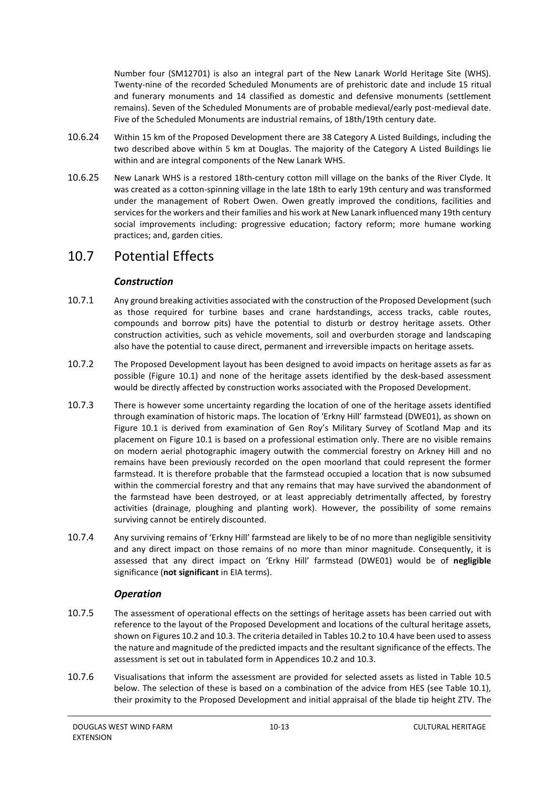Number four (SM12701) is also an integral part of the New Lanark World Heritage Site (WHS). Twenty-nine of the recorded Scheduled Monuments are of prehistoric date and include 15 ritual and funerary monuments and 14 classified as domestic and defensive monuments (settlement remains). Seven of the Scheduled Monuments are of probable medieval/early post-medieval date. Five of the Scheduled Monuments are industrial remains, of 18th/19th century date.

- 10.6.24 Within 15 km of the Proposed Development there are 38 Category A Listed Buildings, including the two described above within 5 km at Douglas. The majority of the Category A Listed Buildings lie within and are integral components of the New Lanark WHS.
- 10.6.25 New Lanark WHS is a restored 18th-century cotton mill village on the banks of the River Clyde. It was created as a cotton-spinning village in the late 18th to early 19th century and was transformed under the management of Robert Owen. Owen greatly improved the conditions, facilities and services for the workers and their families and his work at New Lanark influenced many 19th century social improvements including: progressive education; factory reform; more humane working practices; and, garden cities.

# <span id="page-14-0"></span>10.7 Potential Effects

# *Construction*

- 10.7.1 Any ground breaking activities associated with the construction of the Proposed Development (such as those required for turbine bases and crane hardstandings, access tracks, cable routes, compounds and borrow pits) have the potential to disturb or destroy heritage assets. Other construction activities, such as vehicle movements, soil and overburden storage and landscaping also have the potential to cause direct, permanent and irreversible impacts on heritage assets.
- 10.7.2 The Proposed Development layout has been designed to avoid impacts on heritage assets as far as possible (Figure 10.1) and none of the heritage assets identified by the desk-based assessment would be directly affected by construction works associated with the Proposed Development.
- 10.7.3 There is however some uncertainty regarding the location of one of the heritage assets identified through examination of historic maps. The location of 'Erkny Hill' farmstead (DWE01), as shown on Figure 10.1 is derived from examination of Gen Roy's Military Survey of Scotland Map and its placement on Figure 10.1 is based on a professional estimation only. There are no visible remains on modern aerial photographic imagery outwith the commercial forestry on Arkney Hill and no remains have been previously recorded on the open moorland that could represent the former farmstead. It is therefore probable that the farmstead occupied a location that is now subsumed within the commercial forestry and that any remains that may have survived the abandonment of the farmstead have been destroyed, or at least appreciably detrimentally affected, by forestry activities (drainage, ploughing and planting work). However, the possibility of some remains surviving cannot be entirely discounted.
- 10.7.4 Any surviving remains of 'Erkny Hill' farmstead are likely to be of no more than negligible sensitivity and any direct impact on those remains of no more than minor magnitude. Consequently, it is assessed that any direct impact on 'Erkny Hill' farmstead (DWE01) would be of **negligible** significance (**not significant** in EIA terms).

# *Operation*

- 10.7.5 The assessment of operational effects on the settings of heritage assets has been carried out with reference to the layout of the Proposed Development and locations of the cultural heritage assets, shown on Figures 10.2 and 10.3. The criteria detailed in Tables 10.2 to 10.4 have been used to assess the nature and magnitude of the predicted impacts and the resultant significance of the effects. The assessment is set out in tabulated form in Appendices 10.2 and 10.3.
- 10.7.6 Visualisations that inform the assessment are provided for selected assets as listed in Table 10.5 below. The selection of these is based on a combination of the advice from HES (see Table 10.1), their proximity to the Proposed Development and initial appraisal of the blade tip height ZTV. The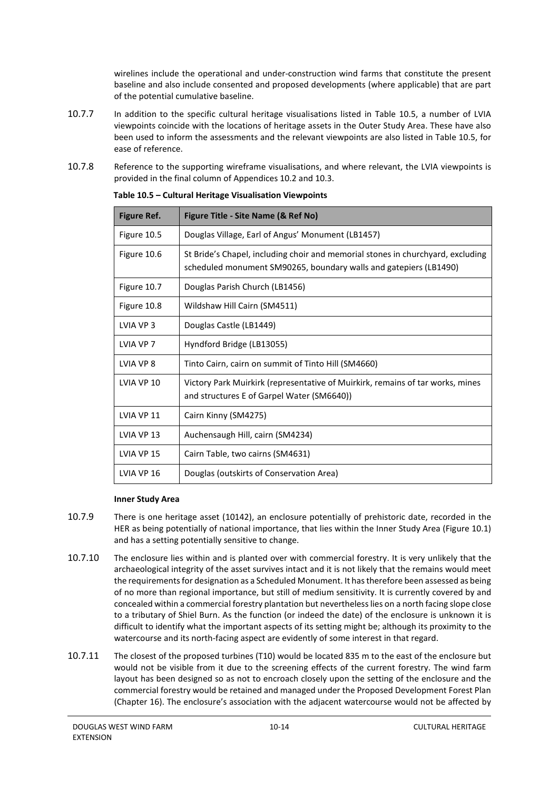wirelines include the operational and under-construction wind farms that constitute the present baseline and also include consented and proposed developments (where applicable) that are part of the potential cumulative baseline.

- 10.7.7 In addition to the specific cultural heritage visualisations listed in Table 10.5, a number of LVIA viewpoints coincide with the locations of heritage assets in the Outer Study Area. These have also been used to inform the assessments and the relevant viewpoints are also listed in Table 10.5, for ease of reference.
- 10.7.8 Reference to the supporting wireframe visualisations, and where relevant, the LVIA viewpoints is provided in the final column of Appendices 10.2 and 10.3.

| <b>Figure Ref.</b> | Figure Title - Site Name (& Ref No)                                                                                                                  |
|--------------------|------------------------------------------------------------------------------------------------------------------------------------------------------|
| Figure 10.5        | Douglas Village, Earl of Angus' Monument (LB1457)                                                                                                    |
| Figure 10.6        | St Bride's Chapel, including choir and memorial stones in churchyard, excluding<br>scheduled monument SM90265, boundary walls and gatepiers (LB1490) |
| Figure 10.7        | Douglas Parish Church (LB1456)                                                                                                                       |
| Figure 10.8        | Wildshaw Hill Cairn (SM4511)                                                                                                                         |
| LVIA VP 3          | Douglas Castle (LB1449)                                                                                                                              |
| LVIA VP 7          | Hyndford Bridge (LB13055)                                                                                                                            |
| LVIA VP 8          | Tinto Cairn, cairn on summit of Tinto Hill (SM4660)                                                                                                  |
| LVIA VP 10         | Victory Park Muirkirk (representative of Muirkirk, remains of tar works, mines<br>and structures E of Garpel Water (SM6640))                         |
| LVIA VP 11         | Cairn Kinny (SM4275)                                                                                                                                 |
| LVIA VP 13         | Auchensaugh Hill, cairn (SM4234)                                                                                                                     |
| LVIA VP 15         | Cairn Table, two cairns (SM4631)                                                                                                                     |
| LVIA VP 16         | Douglas (outskirts of Conservation Area)                                                                                                             |

#### **Table 10.5 – Cultural Heritage Visualisation Viewpoints**

#### **Inner Study Area**

- <span id="page-15-0"></span>10.7.9 There is one heritage asset (10142), an enclosure potentially of prehistoric date, recorded in the HER as being potentially of national importance, that lies within the Inner Study Area (Figure 10.1) and has a setting potentially sensitive to change.
- 10.7.10 The enclosure lies within and is planted over with commercial forestry. It is very unlikely that the archaeological integrity of the asset survives intact and it is not likely that the remains would meet the requirements for designation as a Scheduled Monument. It has therefore been assessed as being of no more than regional importance, but still of medium sensitivity. It is currently covered by and concealed within a commercial forestry plantation but nevertheless lies on a north facing slope close to a tributary of Shiel Burn. As the function (or indeed the date) of the enclosure is unknown it is difficult to identify what the important aspects of its setting might be; although its proximity to the watercourse and its north-facing aspect are evidently of some interest in that regard.
- 10.7.11 The closest of the proposed turbines (T10) would be located 835 m to the east of the enclosure but would not be visible from it due to the screening effects of the current forestry. The wind farm layout has been designed so as not to encroach closely upon the setting of the enclosure and the commercial forestry would be retained and managed under the Proposed Development Forest Plan (Chapter 16). The enclosure's association with the adjacent watercourse would not be affected by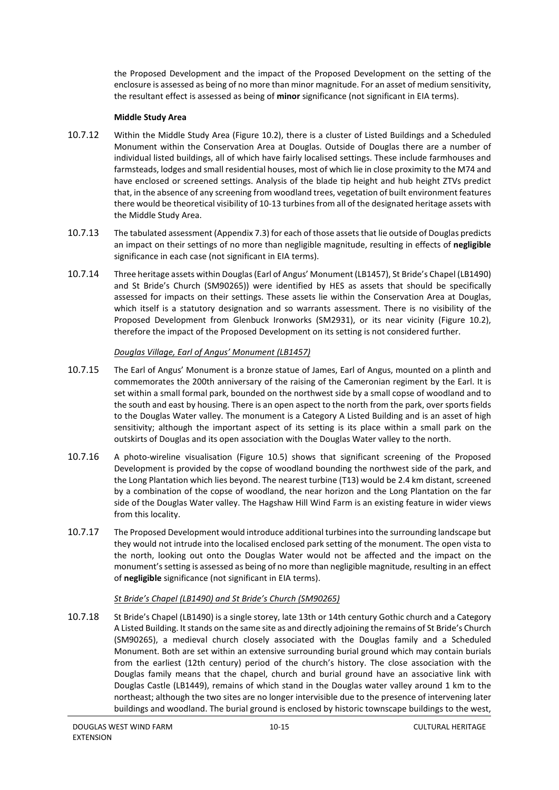the Proposed Development and the impact of the Proposed Development on the setting of the enclosure is assessed as being of no more than minor magnitude. For an asset of medium sensitivity, the resultant effect is assessed as being of **minor** significance (not significant in EIA terms).

### **Middle Study Area**

- 10.7.12 Within the Middle Study Area (Figure 10.2), there is a cluster of Listed Buildings and a Scheduled Monument within the Conservation Area at Douglas. Outside of Douglas there are a number of individual listed buildings, all of which have fairly localised settings. These include farmhouses and farmsteads, lodges and small residential houses, most of which lie in close proximity to the M74 and have enclosed or screened settings. Analysis of the blade tip height and hub height ZTVs predict that, in the absence of any screening from woodland trees, vegetation of built environment features there would be theoretical visibility of 10-13 turbines from all of the designated heritage assets with the Middle Study Area.
- 10.7.13 The tabulated assessment (Appendix 7.3) for each of those assets that lie outside of Douglas predicts an impact on their settings of no more than negligible magnitude, resulting in effects of **negligible** significance in each case (not significant in EIA terms).
- 10.7.14 Three heritage assets within Douglas (Earl of Angus' Monument (LB1457), St Bride's Chapel (LB1490) and St Bride's Church (SM90265)) were identified by HES as assets that should be specifically assessed for impacts on their settings. These assets lie within the Conservation Area at Douglas, which itself is a statutory designation and so warrants assessment. There is no visibility of the Proposed Development from Glenbuck Ironworks (SM2931), or its near vicinity (Figure 10.2), therefore the impact of the Proposed Development on its setting is not considered further.

#### *Douglas Village, Earl of Angus' Monument (LB1457)*

- 10.7.15 The Earl of Angus' Monument is a bronze statue of James, Earl of Angus, mounted on a plinth and commemorates the 200th anniversary of the raising of the Cameronian regiment by the Earl. It is set within a small formal park, bounded on the northwest side by a small copse of woodland and to the south and east by housing. There is an open aspect to the north from the park, over sports fields to the Douglas Water valley. The monument is a Category A Listed Building and is an asset of high sensitivity; although the important aspect of its setting is its place within a small park on the outskirts of Douglas and its open association with the Douglas Water valley to the north.
- 10.7.16 A photo-wireline visualisation (Figure 10.5) shows that significant screening of the Proposed Development is provided by the copse of woodland bounding the northwest side of the park, and the Long Plantation which lies beyond. The nearest turbine (T13) would be 2.4 km distant, screened by a combination of the copse of woodland, the near horizon and the Long Plantation on the far side of the Douglas Water valley. The Hagshaw Hill Wind Farm is an existing feature in wider views from this locality.
- 10.7.17 The Proposed Development would introduce additional turbines into the surrounding landscape but they would not intrude into the localised enclosed park setting of the monument. The open vista to the north, looking out onto the Douglas Water would not be affected and the impact on the monument's setting is assessed as being of no more than negligible magnitude, resulting in an effect of **negligible** significance (not significant in EIA terms).

### *St Bride's Chapel (LB1490) and St Bride's Church (SM90265)*

10.7.18 St Bride's Chapel (LB1490) is a single storey, late 13th or 14th century Gothic church and a Category A Listed Building. It stands on the same site as and directly adjoining the remains of St Bride's Church (SM90265), a medieval church closely associated with the Douglas family and a Scheduled Monument. Both are set within an extensive surrounding burial ground which may contain burials from the earliest (12th century) period of the church's history. The close association with the Douglas family means that the chapel, church and burial ground have an associative link with Douglas Castle (LB1449), remains of which stand in the Douglas water valley around 1 km to the northeast; although the two sites are no longer intervisible due to the presence of intervening later buildings and woodland. The burial ground is enclosed by historic townscape buildings to the west,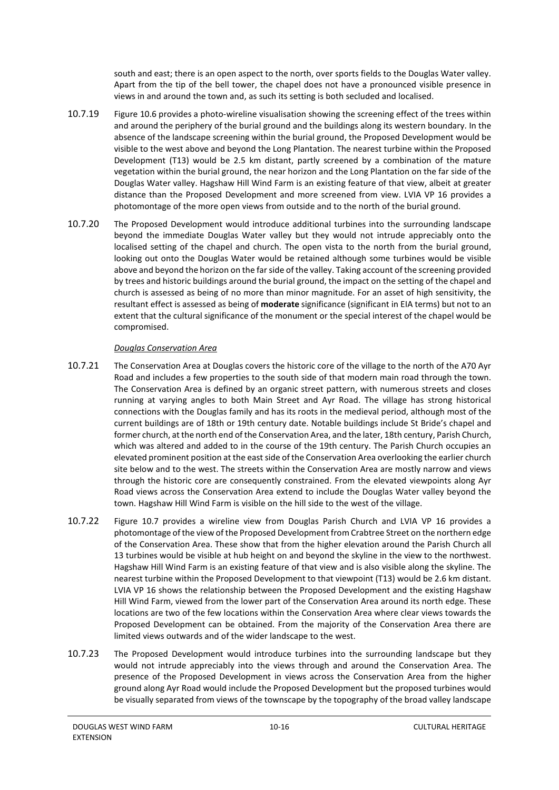south and east; there is an open aspect to the north, over sports fields to the Douglas Water valley. Apart from the tip of the bell tower, the chapel does not have a pronounced visible presence in views in and around the town and, as such its setting is both secluded and localised.

- 10.7.19 Figure 10.6 provides a photo-wireline visualisation showing the screening effect of the trees within and around the periphery of the burial ground and the buildings along its western boundary. In the absence of the landscape screening within the burial ground, the Proposed Development would be visible to the west above and beyond the Long Plantation. The nearest turbine within the Proposed Development (T13) would be 2.5 km distant, partly screened by a combination of the mature vegetation within the burial ground, the near horizon and the Long Plantation on the far side of the Douglas Water valley. Hagshaw Hill Wind Farm is an existing feature of that view, albeit at greater distance than the Proposed Development and more screened from view. LVIA VP 16 provides a photomontage of the more open views from outside and to the north of the burial ground.
- 10.7.20 The Proposed Development would introduce additional turbines into the surrounding landscape beyond the immediate Douglas Water valley but they would not intrude appreciably onto the localised setting of the chapel and church. The open vista to the north from the burial ground, looking out onto the Douglas Water would be retained although some turbines would be visible above and beyond the horizon on the far side of the valley. Taking account of the screening provided by trees and historic buildings around the burial ground, the impact on the setting of the chapel and church is assessed as being of no more than minor magnitude. For an asset of high sensitivity, the resultant effect is assessed as being of **moderate** significance (significant in EIA terms) but not to an extent that the cultural significance of the monument or the special interest of the chapel would be compromised.

### *Douglas Conservation Area*

- 10.7.21 The Conservation Area at Douglas covers the historic core of the village to the north of the A70 Ayr Road and includes a few properties to the south side of that modern main road through the town. The Conservation Area is defined by an organic street pattern, with numerous streets and closes running at varying angles to both Main Street and Ayr Road. The village has strong historical connections with the Douglas family and has its roots in the medieval period, although most of the current buildings are of 18th or 19th century date. Notable buildings include St Bride's chapel and former church, at the north end of the Conservation Area, and the later, 18th century, Parish Church, which was altered and added to in the course of the 19th century. The Parish Church occupies an elevated prominent position at the east side of the Conservation Area overlooking the earlier church site below and to the west. The streets within the Conservation Area are mostly narrow and views through the historic core are consequently constrained. From the elevated viewpoints along Ayr Road views across the Conservation Area extend to include the Douglas Water valley beyond the town. Hagshaw Hill Wind Farm is visible on the hill side to the west of the village.
- 10.7.22 Figure 10.7 provides a wireline view from Douglas Parish Church and LVIA VP 16 provides a photomontage of the view of the Proposed Development from Crabtree Street on the northern edge of the Conservation Area. These show that from the higher elevation around the Parish Church all 13 turbines would be visible at hub height on and beyond the skyline in the view to the northwest. Hagshaw Hill Wind Farm is an existing feature of that view and is also visible along the skyline. The nearest turbine within the Proposed Development to that viewpoint (T13) would be 2.6 km distant. LVIA VP 16 shows the relationship between the Proposed Development and the existing Hagshaw Hill Wind Farm, viewed from the lower part of the Conservation Area around its north edge. These locations are two of the few locations within the Conservation Area where clear views towards the Proposed Development can be obtained. From the majority of the Conservation Area there are limited views outwards and of the wider landscape to the west.
- 10.7.23 The Proposed Development would introduce turbines into the surrounding landscape but they would not intrude appreciably into the views through and around the Conservation Area. The presence of the Proposed Development in views across the Conservation Area from the higher ground along Ayr Road would include the Proposed Development but the proposed turbines would be visually separated from views of the townscape by the topography of the broad valley landscape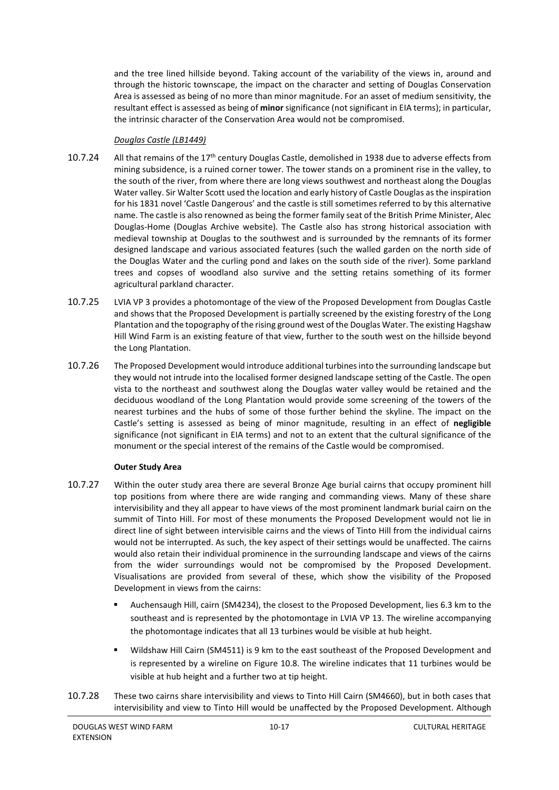and the tree lined hillside beyond. Taking account of the variability of the views in, around and through the historic townscape, the impact on the character and setting of Douglas Conservation Area is assessed as being of no more than minor magnitude. For an asset of medium sensitivity, the resultant effect is assessed as being of **minor** significance (not significant in EIA terms); in particular, the intrinsic character of the Conservation Area would not be compromised.

## *Douglas Castle (LB1449)*

- 10.7.24 All that remains of the 17<sup>th</sup> century Douglas Castle, demolished in 1938 due to adverse effects from mining subsidence, is a ruined corner tower. The tower stands on a prominent rise in the valley, to the south of the river, from where there are long views southwest and northeast along the Douglas Water valley. Sir Walter Scott used the location and early history of Castle Douglas as the inspiration for his 1831 novel 'Castle Dangerous' and the castle is still sometimes referred to by this alternative name. The castle is also renowned as being the former family seat of the British Prime Minister, Alec Douglas-Home (Douglas Archive website). The Castle also has strong historical association with medieval township at Douglas to the southwest and is surrounded by the remnants of its former designed landscape and various associated features (such the walled garden on the north side of the Douglas Water and the curling pond and lakes on the south side of the river). Some parkland trees and copses of woodland also survive and the setting retains something of its former agricultural parkland character.
- 10.7.25 LVIA VP 3 provides a photomontage of the view of the Proposed Development from Douglas Castle and shows that the Proposed Development is partially screened by the existing forestry of the Long Plantation and the topography of the rising ground west of the Douglas Water. The existing Hagshaw Hill Wind Farm is an existing feature of that view, further to the south west on the hillside beyond the Long Plantation.
- 10.7.26 The Proposed Development would introduce additional turbines into the surrounding landscape but they would not intrude into the localised former designed landscape setting of the Castle. The open vista to the northeast and southwest along the Douglas water valley would be retained and the deciduous woodland of the Long Plantation would provide some screening of the towers of the nearest turbines and the hubs of some of those further behind the skyline. The impact on the Castle's setting is assessed as being of minor magnitude, resulting in an effect of **negligible** significance (not significant in EIA terms) and not to an extent that the cultural significance of the monument or the special interest of the remains of the Castle would be compromised.

# **Outer Study Area**

- 10.7.27 Within the outer study area there are several Bronze Age burial cairns that occupy prominent hill top positions from where there are wide ranging and commanding views. Many of these share intervisibility and they all appear to have views of the most prominent landmark burial cairn on the summit of Tinto Hill. For most of these monuments the Proposed Development would not lie in direct line of sight between intervisible cairns and the views of Tinto Hill from the individual cairns would not be interrupted. As such, the key aspect of their settings would be unaffected. The cairns would also retain their individual prominence in the surrounding landscape and views of the cairns from the wider surroundings would not be compromised by the Proposed Development. Visualisations are provided from several of these, which show the visibility of the Proposed Development in views from the cairns:
	- Auchensaugh Hill, cairn (SM4234), the closest to the Proposed Development, lies 6.3 km to the southeast and is represented by the photomontage in LVIA VP 13. The wireline accompanying the photomontage indicates that all 13 turbines would be visible at hub height.
	- Wildshaw Hill Cairn (SM4511) is 9 km to the east southeast of the Proposed Development and is represented by a wireline on Figure 10.8. The wireline indicates that 11 turbines would be visible at hub height and a further two at tip height.
- 10.7.28 These two cairns share intervisibility and views to Tinto Hill Cairn (SM4660), but in both cases that intervisibility and view to Tinto Hill would be unaffected by the Proposed Development. Although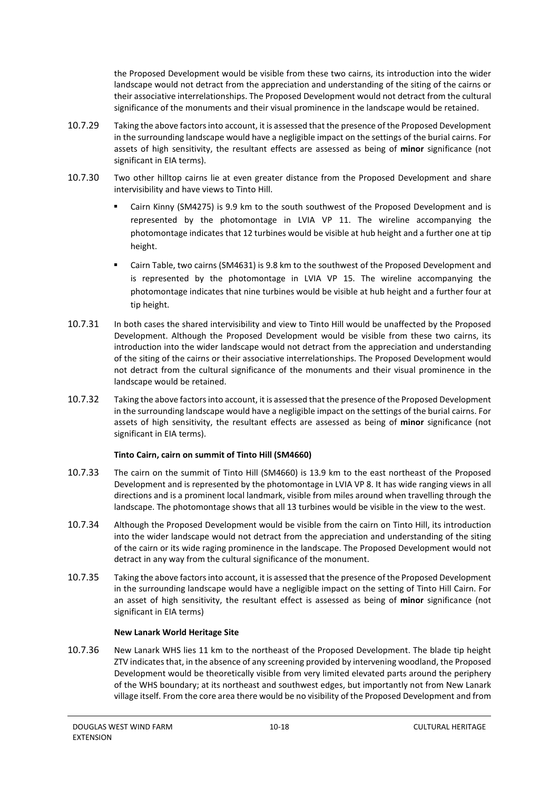the Proposed Development would be visible from these two cairns, its introduction into the wider landscape would not detract from the appreciation and understanding of the siting of the cairns or their associative interrelationships. The Proposed Development would not detract from the cultural significance of the monuments and their visual prominence in the landscape would be retained.

- 10.7.29 Taking the above factors into account, it is assessed that the presence of the Proposed Development in the surrounding landscape would have a negligible impact on the settings of the burial cairns. For assets of high sensitivity, the resultant effects are assessed as being of **minor** significance (not significant in EIA terms).
- 10.7.30 Two other hilltop cairns lie at even greater distance from the Proposed Development and share intervisibility and have views to Tinto Hill.
	- Cairn Kinny (SM4275) is 9.9 km to the south southwest of the Proposed Development and is represented by the photomontage in LVIA VP 11. The wireline accompanying the photomontage indicates that 12 turbines would be visible at hub height and a further one at tip height.
	- Cairn Table, two cairns (SM4631) is 9.8 km to the southwest of the Proposed Development and is represented by the photomontage in LVIA VP 15. The wireline accompanying the photomontage indicates that nine turbines would be visible at hub height and a further four at tip height.
- 10.7.31 In both cases the shared intervisibility and view to Tinto Hill would be unaffected by the Proposed Development. Although the Proposed Development would be visible from these two cairns, its introduction into the wider landscape would not detract from the appreciation and understanding of the siting of the cairns or their associative interrelationships. The Proposed Development would not detract from the cultural significance of the monuments and their visual prominence in the landscape would be retained.
- 10.7.32 Taking the above factors into account, it is assessed that the presence of the Proposed Development in the surrounding landscape would have a negligible impact on the settings of the burial cairns. For assets of high sensitivity, the resultant effects are assessed as being of **minor** significance (not significant in EIA terms).

### **Tinto Cairn, cairn on summit of Tinto Hill (SM4660)**

- 10.7.33 The cairn on the summit of Tinto Hill (SM4660) is 13.9 km to the east northeast of the Proposed Development and is represented by the photomontage in LVIA VP 8. It has wide ranging views in all directions and is a prominent local landmark, visible from miles around when travelling through the landscape. The photomontage shows that all 13 turbines would be visible in the view to the west.
- 10.7.34 Although the Proposed Development would be visible from the cairn on Tinto Hill, its introduction into the wider landscape would not detract from the appreciation and understanding of the siting of the cairn or its wide raging prominence in the landscape. The Proposed Development would not detract in any way from the cultural significance of the monument.
- 10.7.35 Taking the above factors into account, it is assessed that the presence of the Proposed Development in the surrounding landscape would have a negligible impact on the setting of Tinto Hill Cairn. For an asset of high sensitivity, the resultant effect is assessed as being of **minor** significance (not significant in EIA terms)

#### **New Lanark World Heritage Site**

10.7.36 New Lanark WHS lies 11 km to the northeast of the Proposed Development. The blade tip height ZTV indicates that, in the absence of any screening provided by intervening woodland, the Proposed Development would be theoretically visible from very limited elevated parts around the periphery of the WHS boundary; at its northeast and southwest edges, but importantly not from New Lanark village itself. From the core area there would be no visibility of the Proposed Development and from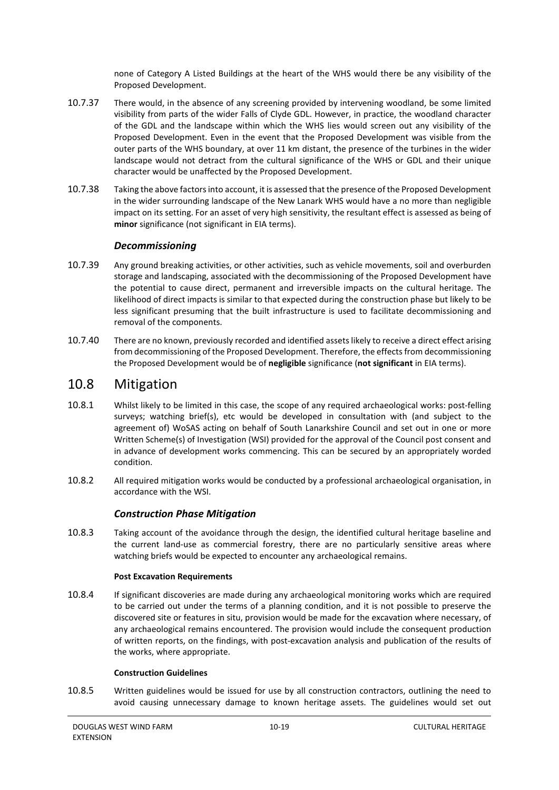none of Category A Listed Buildings at the heart of the WHS would there be any visibility of the Proposed Development.

- 10.7.37 There would, in the absence of any screening provided by intervening woodland, be some limited visibility from parts of the wider Falls of Clyde GDL. However, in practice, the woodland character of the GDL and the landscape within which the WHS lies would screen out any visibility of the Proposed Development. Even in the event that the Proposed Development was visible from the outer parts of the WHS boundary, at over 11 km distant, the presence of the turbines in the wider landscape would not detract from the cultural significance of the WHS or GDL and their unique character would be unaffected by the Proposed Development.
- <span id="page-20-1"></span>10.7.38 Taking the above factors into account, it is assessed that the presence of the Proposed Development in the wider surrounding landscape of the New Lanark WHS would have a no more than negligible impact on its setting. For an asset of very high sensitivity, the resultant effect is assessed as being of **minor** significance (not significant in EIA terms).

# *Decommissioning*

- 10.7.39 Any ground breaking activities, or other activities, such as vehicle movements, soil and overburden storage and landscaping, associated with the decommissioning of the Proposed Development have the potential to cause direct, permanent and irreversible impacts on the cultural heritage. The likelihood of direct impacts is similar to that expected during the construction phase but likely to be less significant presuming that the built infrastructure is used to facilitate decommissioning and removal of the components.
- 10.7.40 There are no known, previously recorded and identified assets likely to receive a direct effect arising from decommissioning of the Proposed Development. Therefore, the effects from decommissioning the Proposed Development would be of **negligible** significance (**not significant** in EIA terms).

# <span id="page-20-0"></span>10.8 Mitigation

- <span id="page-20-2"></span>10.8.1 Whilst likely to be limited in this case, the scope of any required archaeological works: post-felling surveys; watching brief(s), etc would be developed in consultation with (and subject to the agreement of) WoSAS acting on behalf of South Lanarkshire Council and set out in one or more Written Scheme(s) of Investigation (WSI) provided for the approval of the Council post consent and in advance of development works commencing. This can be secured by an appropriately worded condition.
- 10.8.2 All required mitigation works would be conducted by a professional archaeological organisation, in accordance with the WSI.

### *Construction Phase Mitigation*

10.8.3 Taking account of the avoidance through the design, the identified cultural heritage baseline and the current land-use as commercial forestry, there are no particularly sensitive areas where watching briefs would be expected to encounter any archaeological remains.

#### **Post Excavation Requirements**

10.8.4 If significant discoveries are made during any archaeological monitoring works which are required to be carried out under the terms of a planning condition, and it is not possible to preserve the discovered site or features in situ, provision would be made for the excavation where necessary, of any archaeological remains encountered. The provision would include the consequent production of written reports, on the findings, with post-excavation analysis and publication of the results of the works, where appropriate.

### **Construction Guidelines**

10.8.5 Written guidelines would be issued for use by all construction contractors, outlining the need to avoid causing unnecessary damage to known heritage assets. The guidelines would set out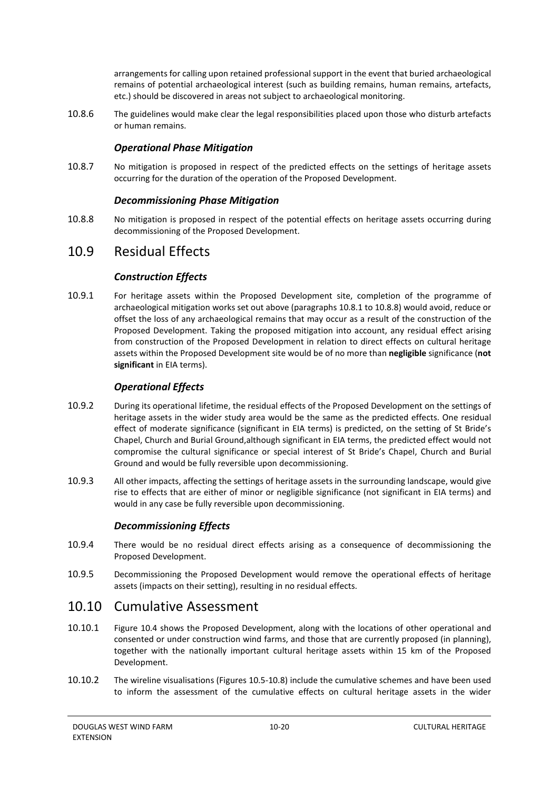arrangements for calling upon retained professional support in the event that buried archaeological remains of potential archaeological interest (such as building remains, human remains, artefacts, etc.) should be discovered in areas not subject to archaeological monitoring.

10.8.6 The guidelines would make clear the legal responsibilities placed upon those who disturb artefacts or human remains.

## *Operational Phase Mitigation*

10.8.7 No mitigation is proposed in respect of the predicted effects on the settings of heritage assets occurring for the duration of the operation of the Proposed Development.

## *Decommissioning Phase Mitigation*

<span id="page-21-2"></span>10.8.8 No mitigation is proposed in respect of the potential effects on heritage assets occurring during decommissioning of the Proposed Development.

# <span id="page-21-0"></span>10.9 Residual Effects

# *Construction Effects*

10.9.1 For heritage assets within the Proposed Development site, completion of the programme of archaeological mitigation works set out above (paragraphs [10.8.1](#page-20-2) t[o 10.8.8\)](#page-21-2) would avoid, reduce or offset the loss of any archaeological remains that may occur as a result of the construction of the Proposed Development. Taking the proposed mitigation into account, any residual effect arising from construction of the Proposed Development in relation to direct effects on cultural heritage assets within the Proposed Development site would be of no more than **negligible** significance (**not significant** in EIA terms).

# *Operational Effects*

- 10.9.2 During its operational lifetime, the residual effects of the Proposed Development on the settings of heritage assets in the wider study area would be the same as the predicted effects. One residual effect of moderate significance (significant in EIA terms) is predicted, on the setting of St Bride's Chapel, Church and Burial Ground,although significant in EIA terms, the predicted effect would not compromise the cultural significance or special interest of St Bride's Chapel, Church and Burial Ground and would be fully reversible upon decommissioning.
- 10.9.3 All other impacts, affecting the settings of heritage assets in the surrounding landscape, would give rise to effects that are either of minor or negligible significance (not significant in EIA terms) and would in any case be fully reversible upon decommissioning.

# *Decommissioning Effects*

- 10.9.4 There would be no residual direct effects arising as a consequence of decommissioning the Proposed Development.
- 10.9.5 Decommissioning the Proposed Development would remove the operational effects of heritage assets (impacts on their setting), resulting in no residual effects.

# <span id="page-21-1"></span>10.10 Cumulative Assessment

- 10.10.1 Figure 10.4 shows the Proposed Development, along with the locations of other operational and consented or under construction wind farms, and those that are currently proposed (in planning), together with the nationally important cultural heritage assets within 15 km of the Proposed Development.
- 10.10.2 The wireline visualisations (Figures 10.5-10.8) include the cumulative schemes and have been used to inform the assessment of the cumulative effects on cultural heritage assets in the wider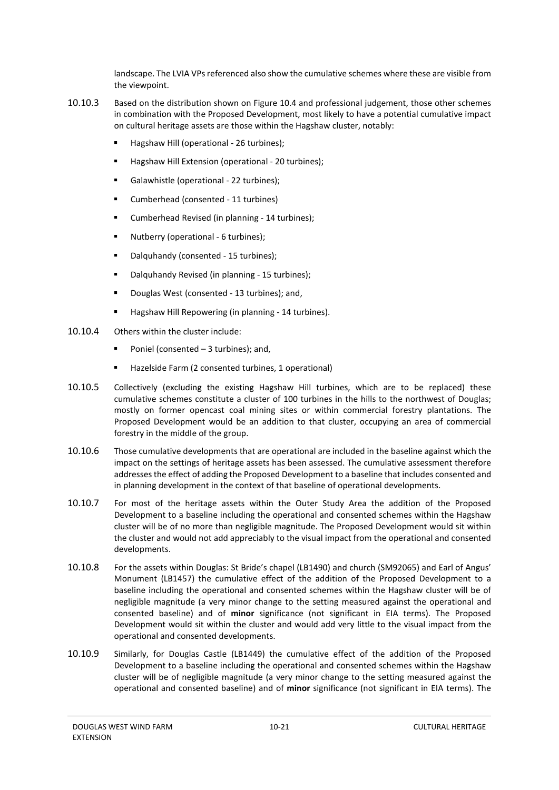landscape. The LVIA VPs referenced also show the cumulative schemes where these are visible from the viewpoint.

- 10.10.3 Based on the distribution shown on Figure 10.4 and professional judgement, those other schemes in combination with the Proposed Development, most likely to have a potential cumulative impact on cultural heritage assets are those within the Hagshaw cluster, notably:
	- Hagshaw Hill (operational 26 turbines);
	- Hagshaw Hill Extension (operational 20 turbines);
	- Galawhistle (operational 22 turbines);
	- **Cumberhead (consented 11 turbines)**
	- Cumberhead Revised (in planning 14 turbines);
	- Nutberry (operational 6 turbines);
	- Dalquhandy (consented 15 turbines);
	- Dalquhandy Revised (in planning 15 turbines);
	- Douglas West (consented 13 turbines): and,
	- Hagshaw Hill Repowering (in planning 14 turbines).
- 10.10.4 Others within the cluster include:
	- Poniel (consented 3 turbines); and,
	- Hazelside Farm (2 consented turbines, 1 operational)
- 10.10.5 Collectively (excluding the existing Hagshaw Hill turbines, which are to be replaced) these cumulative schemes constitute a cluster of 100 turbines in the hills to the northwest of Douglas; mostly on former opencast coal mining sites or within commercial forestry plantations. The Proposed Development would be an addition to that cluster, occupying an area of commercial forestry in the middle of the group.
- 10.10.6 Those cumulative developments that are operational are included in the baseline against which the impact on the settings of heritage assets has been assessed. The cumulative assessment therefore addresses the effect of adding the Proposed Development to a baseline that includes consented and in planning development in the context of that baseline of operational developments.
- 10.10.7 For most of the heritage assets within the Outer Study Area the addition of the Proposed Development to a baseline including the operational and consented schemes within the Hagshaw cluster will be of no more than negligible magnitude. The Proposed Development would sit within the cluster and would not add appreciably to the visual impact from the operational and consented developments.
- 10.10.8 For the assets within Douglas: St Bride's chapel (LB1490) and church (SM92065) and Earl of Angus' Monument (LB1457) the cumulative effect of the addition of the Proposed Development to a baseline including the operational and consented schemes within the Hagshaw cluster will be of negligible magnitude (a very minor change to the setting measured against the operational and consented baseline) and of **minor** significance (not significant in EIA terms). The Proposed Development would sit within the cluster and would add very little to the visual impact from the operational and consented developments.
- 10.10.9 Similarly, for Douglas Castle (LB1449) the cumulative effect of the addition of the Proposed Development to a baseline including the operational and consented schemes within the Hagshaw cluster will be of negligible magnitude (a very minor change to the setting measured against the operational and consented baseline) and of **minor** significance (not significant in EIA terms). The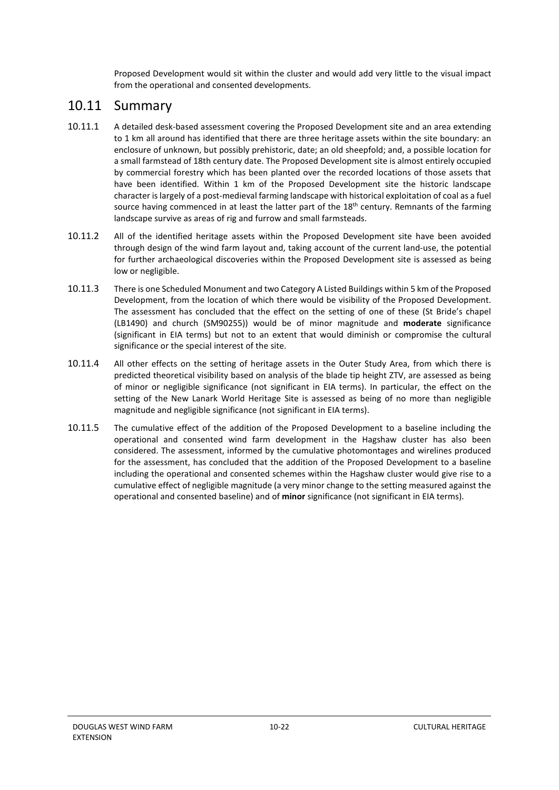Proposed Development would sit within the cluster and would add very little to the visual impact from the operational and consented developments.

# <span id="page-23-0"></span>10.11 Summary

- 10.11.1 A detailed desk-based assessment covering the Proposed Development site and an area extending to 1 km all around has identified that there are three heritage assets within the site boundary: an enclosure of unknown, but possibly prehistoric, date; an old sheepfold; and, a possible location for a small farmstead of 18th century date. The Proposed Development site is almost entirely occupied by commercial forestry which has been planted over the recorded locations of those assets that have been identified. Within 1 km of the Proposed Development site the historic landscape character is largely of a post-medieval farming landscape with historical exploitation of coal as a fuel source having commenced in at least the latter part of the 18<sup>th</sup> century. Remnants of the farming landscape survive as areas of rig and furrow and small farmsteads.
- 10.11.2 All of the identified heritage assets within the Proposed Development site have been avoided through design of the wind farm layout and, taking account of the current land-use, the potential for further archaeological discoveries within the Proposed Development site is assessed as being low or negligible.
- 10.11.3 There is one Scheduled Monument and two Category A Listed Buildings within 5 km of the Proposed Development, from the location of which there would be visibility of the Proposed Development. The assessment has concluded that the effect on the setting of one of these (St Bride's chapel (LB1490) and church (SM90255)) would be of minor magnitude and **moderate** significance (significant in EIA terms) but not to an extent that would diminish or compromise the cultural significance or the special interest of the site.
- 10.11.4 All other effects on the setting of heritage assets in the Outer Study Area, from which there is predicted theoretical visibility based on analysis of the blade tip height ZTV, are assessed as being of minor or negligible significance (not significant in EIA terms). In particular, the effect on the setting of the New Lanark World Heritage Site is assessed as being of no more than negligible magnitude and negligible significance (not significant in EIA terms).
- 10.11.5 The cumulative effect of the addition of the Proposed Development to a baseline including the operational and consented wind farm development in the Hagshaw cluster has also been considered. The assessment, informed by the cumulative photomontages and wirelines produced for the assessment, has concluded that the addition of the Proposed Development to a baseline including the operational and consented schemes within the Hagshaw cluster would give rise to a cumulative effect of negligible magnitude (a very minor change to the setting measured against the operational and consented baseline) and of **minor** significance (not significant in EIA terms).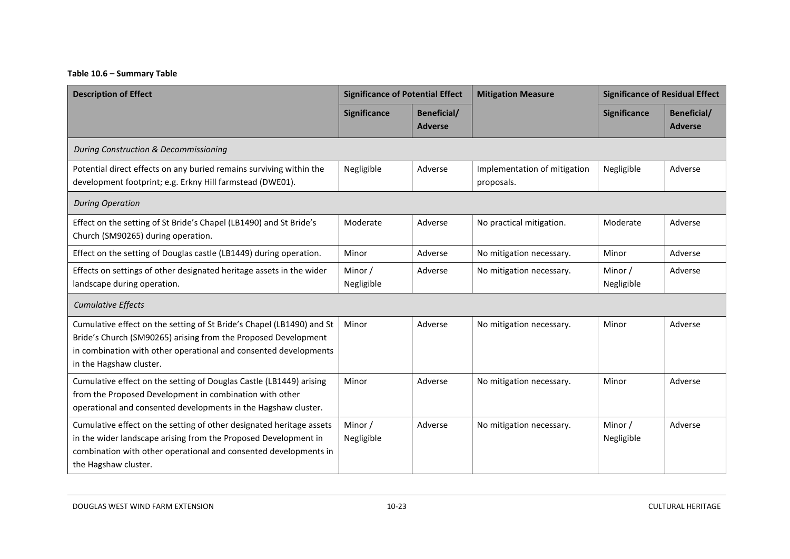#### **Table 10.6 – Summary Table**

| <b>Description of Effect</b>                                                                                                                                                                                                           | <b>Significance of Potential Effect</b> |                                      | <b>Mitigation Measure</b>                  | <b>Significance of Residual Effect</b> |                                      |
|----------------------------------------------------------------------------------------------------------------------------------------------------------------------------------------------------------------------------------------|-----------------------------------------|--------------------------------------|--------------------------------------------|----------------------------------------|--------------------------------------|
|                                                                                                                                                                                                                                        | <b>Significance</b>                     | <b>Beneficial/</b><br><b>Adverse</b> |                                            | <b>Significance</b>                    | <b>Beneficial/</b><br><b>Adverse</b> |
| During Construction & Decommissioning                                                                                                                                                                                                  |                                         |                                      |                                            |                                        |                                      |
| Potential direct effects on any buried remains surviving within the<br>development footprint; e.g. Erkny Hill farmstead (DWE01).                                                                                                       | Negligible                              | Adverse                              | Implementation of mitigation<br>proposals. | Negligible                             | Adverse                              |
| <b>During Operation</b>                                                                                                                                                                                                                |                                         |                                      |                                            |                                        |                                      |
| Effect on the setting of St Bride's Chapel (LB1490) and St Bride's<br>Church (SM90265) during operation.                                                                                                                               | Moderate                                | Adverse                              | No practical mitigation.                   | Moderate                               | Adverse                              |
| Effect on the setting of Douglas castle (LB1449) during operation.                                                                                                                                                                     | Minor                                   | Adverse                              | No mitigation necessary.                   | Minor                                  | Adverse                              |
| Effects on settings of other designated heritage assets in the wider<br>landscape during operation.                                                                                                                                    | Minor /<br>Negligible                   | Adverse                              | No mitigation necessary.                   | Minor /<br>Negligible                  | Adverse                              |
| <b>Cumulative Effects</b>                                                                                                                                                                                                              |                                         |                                      |                                            |                                        |                                      |
| Cumulative effect on the setting of St Bride's Chapel (LB1490) and St<br>Bride's Church (SM90265) arising from the Proposed Development<br>in combination with other operational and consented developments<br>in the Hagshaw cluster. | Minor                                   | Adverse                              | No mitigation necessary.                   | Minor                                  | Adverse                              |
| Cumulative effect on the setting of Douglas Castle (LB1449) arising<br>from the Proposed Development in combination with other<br>operational and consented developments in the Hagshaw cluster.                                       | Minor                                   | Adverse                              | No mitigation necessary.                   | Minor                                  | Adverse                              |
| Cumulative effect on the setting of other designated heritage assets<br>in the wider landscape arising from the Proposed Development in<br>combination with other operational and consented developments in<br>the Hagshaw cluster.    | Minor /<br>Negligible                   | Adverse                              | No mitigation necessary.                   | Minor /<br>Negligible                  | Adverse                              |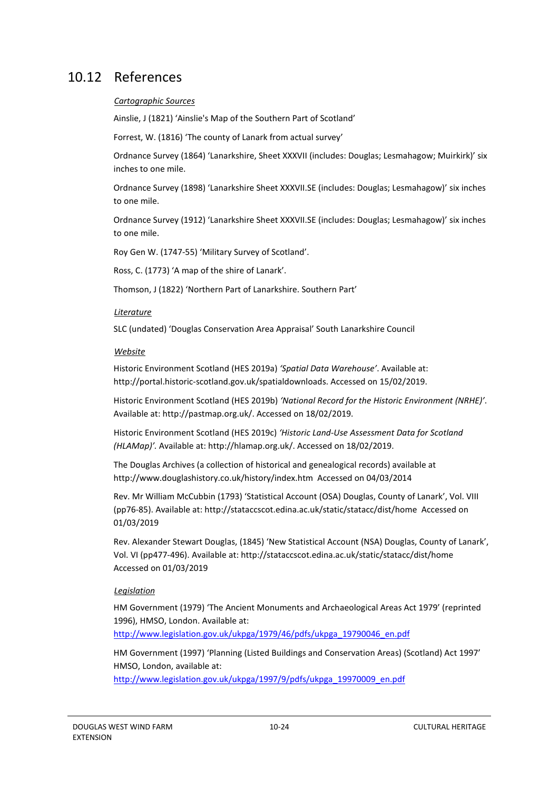# <span id="page-25-0"></span>10.12 References

#### *Cartographic Sources*

Ainslie, J (1821) 'Ainslie's Map of the Southern Part of Scotland'

Forrest, W. (1816) 'The county of Lanark from actual survey'

Ordnance Survey (1864) 'Lanarkshire, Sheet XXXVII (includes: Douglas; Lesmahagow; Muirkirk)' six inches to one mile.

Ordnance Survey (1898) 'Lanarkshire Sheet XXXVII.SE (includes: Douglas; Lesmahagow)' six inches to one mile.

Ordnance Survey (1912) 'Lanarkshire Sheet XXXVII.SE (includes: Douglas; Lesmahagow)' six inches to one mile.

Roy Gen W. (1747-55) 'Military Survey of Scotland'.

Ross, C. (1773) 'A map of the shire of Lanark'.

Thomson, J (1822) 'Northern Part of Lanarkshire. Southern Part'

#### *Literature*

SLC (undated) 'Douglas Conservation Area Appraisal' South Lanarkshire Council

### *Website*

Historic Environment Scotland (HES 2019a) *'Spatial Data Warehouse'*. Available at: http://portal.historic-scotland.gov.uk/spatialdownloads. Accessed on 15/02/2019.

Historic Environment Scotland (HES 2019b) *'National Record for the Historic Environment (NRHE)'*. Available at: http://pastmap.org.uk/. Accessed on 18/02/2019.

Historic Environment Scotland (HES 2019c) *'Historic Land-Use Assessment Data for Scotland (HLAMap)'.* Available at: http://hlamap.org.uk/. Accessed on 18/02/2019.

The Douglas Archives (a collection of historical and genealogical records) available at <http://www.douglashistory.co.uk/history/index.htm> Accessed on 04/03/2014

Rev. Mr William McCubbin (1793) 'Statistical Account (OSA) Douglas, County of Lanark', Vol. VIII (pp76-85). Available at: http://stataccscot.edina.ac.uk/static/statacc/dist/home Accessed on 01/03/2019

Rev. Alexander Stewart Douglas, (1845) 'New Statistical Account (NSA) Douglas, County of Lanark', Vol. VI (pp477-496). Available at: http://stataccscot.edina.ac.uk/static/statacc/dist/home Accessed on 01/03/2019

### *Legislation*

HM Government (1979) 'The Ancient Monuments and Archaeological Areas Act 1979' (reprinted 1996), HMSO, London. Available at:

[http://www.legislation.gov.uk/ukpga/1979/46/pdfs/ukpga\\_19790046\\_en.pdf](http://www.legislation.gov.uk/ukpga/1979/46/pdfs/ukpga_19790046_en.pdf)

HM Government (1997) 'Planning (Listed Buildings and Conservation Areas) (Scotland) Act 1997' HMSO, London, available at:

[http://www.legislation.gov.uk/ukpga/1997/9/pdfs/ukpga\\_19970009\\_en.pdf](http://www.legislation.gov.uk/ukpga/1997/9/pdfs/ukpga_19970009_en.pdf)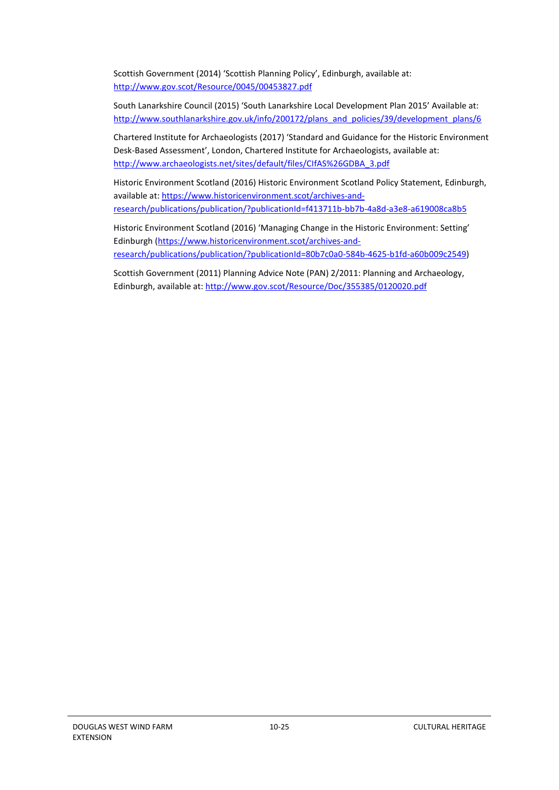Scottish Government (2014) 'Scottish Planning Policy', Edinburgh, available at: <http://www.gov.scot/Resource/0045/00453827.pdf>

South Lanarkshire Council (2015) 'South Lanarkshire Local Development Plan 2015' Available at: [http://www.southlanarkshire.gov.uk/info/200172/plans\\_and\\_policies/39/development\\_plans/6](http://www.southlanarkshire.gov.uk/info/200172/plans_and_policies/39/development_plans/6)

Chartered Institute for Archaeologists (2017) 'Standard and Guidance for the Historic Environment Desk-Based Assessment', London, Chartered Institute for Archaeologists, available at: [http://www.archaeologists.net/sites/default/files/CIfAS%26GDBA\\_3.pdf](http://www.archaeologists.net/sites/default/files/CIfAS%26GDBA_3.pdf)

Historic Environment Scotland (2016) Historic Environment Scotland Policy Statement, Edinburgh, available at[: https://www.historicenvironment.scot/archives-and](https://www.historicenvironment.scot/archives-and-research/publications/publication/?publicationId=f413711b-bb7b-4a8d-a3e8-a619008ca8b5)[research/publications/publication/?publicationId=f413711b-bb7b-4a8d-a3e8-a619008ca8b5](https://www.historicenvironment.scot/archives-and-research/publications/publication/?publicationId=f413711b-bb7b-4a8d-a3e8-a619008ca8b5)

Historic Environment Scotland (2016) 'Managing Change in the Historic Environment: Setting' Edinburgh [\(https://www.historicenvironment.scot/archives-and](https://www.historicenvironment.scot/archives-and-research/publications/publication/?publicationId=80b7c0a0-584b-4625-b1fd-a60b009c2549)[research/publications/publication/?publicationId=80b7c0a0-584b-4625-b1fd-a60b009c2549\)](https://www.historicenvironment.scot/archives-and-research/publications/publication/?publicationId=80b7c0a0-584b-4625-b1fd-a60b009c2549)

Scottish Government (2011) Planning Advice Note (PAN) 2/2011: Planning and Archaeology, Edinburgh, available at:<http://www.gov.scot/Resource/Doc/355385/0120020.pdf>